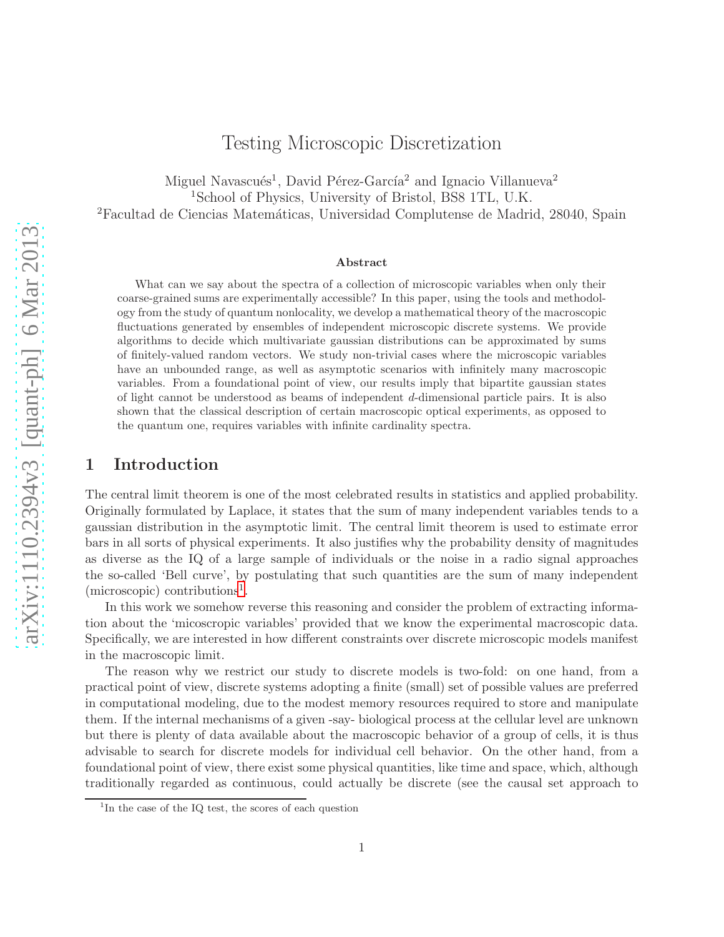# Testing Microscopic Discretization

Miguel Navascués<sup>1</sup>, David Pérez-García<sup>2</sup> and Ignacio Villanueva<sup>2</sup> <sup>1</sup>School of Physics, University of Bristol, BS8 1TL, U.K. <sup>2</sup>Facultad de Ciencias Matemáticas, Universidad Complutense de Madrid, 28040, Spain

#### Abstract

What can we say about the spectra of a collection of microscopic variables when only their coarse-grained sums are experimentally accessible? In this paper, using the tools and methodology from the study of quantum nonlocality, we develop a mathematical theory of the macroscopic fluctuations generated by ensembles of independent microscopic discrete systems. We provide algorithms to decide which multivariate gaussian distributions can be approximated by sums of finitely-valued random vectors. We study non-trivial cases where the microscopic variables have an unbounded range, as well as asymptotic scenarios with infinitely many macroscopic variables. From a foundational point of view, our results imply that bipartite gaussian states of light cannot be understood as beams of independent d-dimensional particle pairs. It is also shown that the classical description of certain macroscopic optical experiments, as opposed to the quantum one, requires variables with infinite cardinality spectra.

# 1 Introduction

The central limit theorem is one of the most celebrated results in statistics and applied probability. Originally formulated by Laplace, it states that the sum of many independent variables tends to a gaussian distribution in the asymptotic limit. The central limit theorem is used to estimate error bars in all sorts of physical experiments. It also justifies why the probability density of magnitudes as diverse as the IQ of a large sample of individuals or the noise in a radio signal approaches the so-called 'Bell curve', by postulating that such quantities are the sum of many independent (microscopic) contributions<sup>[1](#page-0-0)</sup>.

In this work we somehow reverse this reasoning and consider the problem of extracting information about the 'micoscropic variables' provided that we know the experimental macroscopic data. Specifically, we are interested in how different constraints over discrete microscopic models manifest in the macroscopic limit.

The reason why we restrict our study to discrete models is two-fold: on one hand, from a practical point of view, discrete systems adopting a finite (small) set of possible values are preferred in computational modeling, due to the modest memory resources required to store and manipulate them. If the internal mechanisms of a given -say- biological process at the cellular level are unknown but there is plenty of data available about the macroscopic behavior of a group of cells, it is thus advisable to search for discrete models for individual cell behavior. On the other hand, from a foundational point of view, there exist some physical quantities, like time and space, which, although traditionally regarded as continuous, could actually be discrete (see the causal set approach to

<span id="page-0-0"></span><sup>&</sup>lt;sup>1</sup>In the case of the IQ test, the scores of each question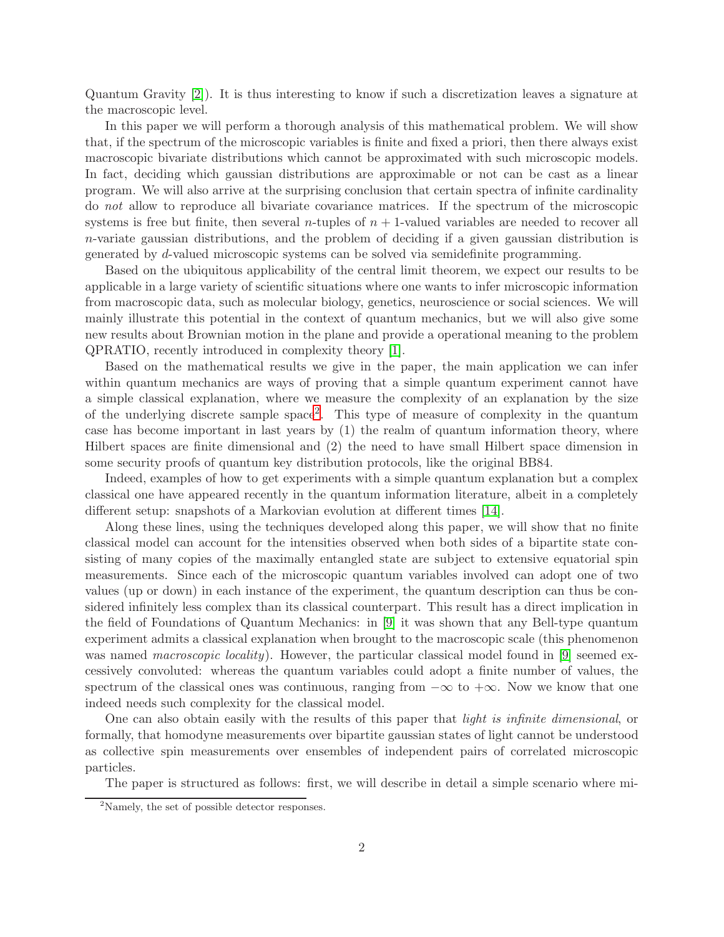Quantum Gravity [\[2\]](#page-30-0)). It is thus interesting to know if such a discretization leaves a signature at the macroscopic level.

In this paper we will perform a thorough analysis of this mathematical problem. We will show that, if the spectrum of the microscopic variables is finite and fixed a priori, then there always exist macroscopic bivariate distributions which cannot be approximated with such microscopic models. In fact, deciding which gaussian distributions are approximable or not can be cast as a linear program. We will also arrive at the surprising conclusion that certain spectra of infinite cardinality do not allow to reproduce all bivariate covariance matrices. If the spectrum of the microscopic systems is free but finite, then several *n*-tuples of  $n + 1$ -valued variables are needed to recover all n-variate gaussian distributions, and the problem of deciding if a given gaussian distribution is generated by d-valued microscopic systems can be solved via semidefinite programming.

Based on the ubiquitous applicability of the central limit theorem, we expect our results to be applicable in a large variety of scientific situations where one wants to infer microscopic information from macroscopic data, such as molecular biology, genetics, neuroscience or social sciences. We will mainly illustrate this potential in the context of quantum mechanics, but we will also give some new results about Brownian motion in the plane and provide a operational meaning to the problem QPRATIO, recently introduced in complexity theory [\[1\]](#page-30-1).

Based on the mathematical results we give in the paper, the main application we can infer within quantum mechanics are ways of proving that a simple quantum experiment cannot have a simple classical explanation, where we measure the complexity of an explanation by the size of the underlying discrete sample space[2](#page-1-0) . This type of measure of complexity in the quantum case has become important in last years by (1) the realm of quantum information theory, where Hilbert spaces are finite dimensional and (2) the need to have small Hilbert space dimension in some security proofs of quantum key distribution protocols, like the original BB84.

Indeed, examples of how to get experiments with a simple quantum explanation but a complex classical one have appeared recently in the quantum information literature, albeit in a completely different setup: snapshots of a Markovian evolution at different times [\[14\]](#page-30-2).

Along these lines, using the techniques developed along this paper, we will show that no finite classical model can account for the intensities observed when both sides of a bipartite state consisting of many copies of the maximally entangled state are subject to extensive equatorial spin measurements. Since each of the microscopic quantum variables involved can adopt one of two values (up or down) in each instance of the experiment, the quantum description can thus be considered infinitely less complex than its classical counterpart. This result has a direct implication in the field of Foundations of Quantum Mechanics: in [\[9\]](#page-30-3) it was shown that any Bell-type quantum experiment admits a classical explanation when brought to the macroscopic scale (this phenomenon was named *macroscopic locality*). However, the particular classical model found in [\[9\]](#page-30-3) seemed excessively convoluted: whereas the quantum variables could adopt a finite number of values, the spectrum of the classical ones was continuous, ranging from  $-\infty$  to  $+\infty$ . Now we know that one indeed needs such complexity for the classical model.

One can also obtain easily with the results of this paper that light is infinite dimensional, or formally, that homodyne measurements over bipartite gaussian states of light cannot be understood as collective spin measurements over ensembles of independent pairs of correlated microscopic particles.

The paper is structured as follows: first, we will describe in detail a simple scenario where mi-

<span id="page-1-0"></span> $2^2$ Namely, the set of possible detector responses.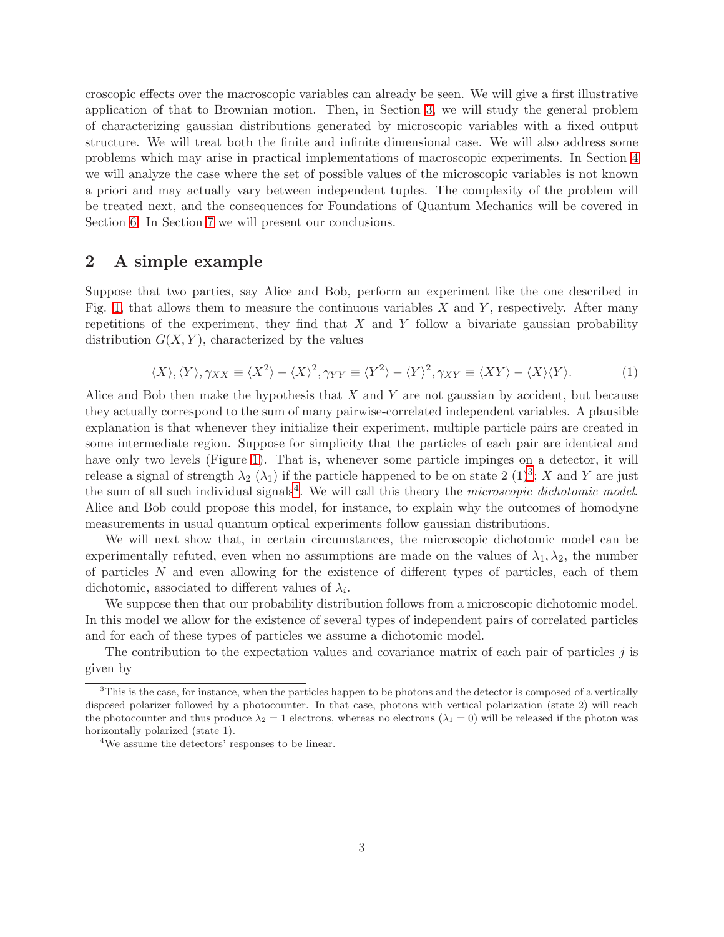croscopic effects over the macroscopic variables can already be seen. We will give a first illustrative application of that to Brownian motion. Then, in Section [3,](#page-5-0) we will study the general problem of characterizing gaussian distributions generated by microscopic variables with a fixed output structure. We will treat both the finite and infinite dimensional case. We will also address some problems which may arise in practical implementations of macroscopic experiments. In Section [4](#page-14-0) we will analyze the case where the set of possible values of the microscopic variables is not known a priori and may actually vary between independent tuples. The complexity of the problem will be treated next, and the consequences for Foundations of Quantum Mechanics will be covered in Section [6.](#page-23-0) In Section [7](#page-28-0) we will present our conclusions.

## <span id="page-2-2"></span>2 A simple example

Suppose that two parties, say Alice and Bob, perform an experiment like the one described in Fig. [1,](#page-3-0) that allows them to measure the continuous variables  $X$  and  $Y$ , respectively. After many repetitions of the experiment, they find that  $X$  and  $Y$  follow a bivariate gaussian probability distribution  $G(X, Y)$ , characterized by the values

$$
\langle X \rangle, \langle Y \rangle, \gamma_{XX} \equiv \langle X^2 \rangle - \langle X \rangle^2, \gamma_{YY} \equiv \langle Y^2 \rangle - \langle Y \rangle^2, \gamma_{XY} \equiv \langle XY \rangle - \langle X \rangle \langle Y \rangle. \tag{1}
$$

Alice and Bob then make the hypothesis that  $X$  and  $Y$  are not gaussian by accident, but because they actually correspond to the sum of many pairwise-correlated independent variables. A plausible explanation is that whenever they initialize their experiment, multiple particle pairs are created in some intermediate region. Suppose for simplicity that the particles of each pair are identical and have only two levels (Figure [1\)](#page-3-0). That is, whenever some particle impinges on a detector, it will release a signal of strength  $\lambda_2$  ( $\lambda_1$ ) if the particle happened to be on state 2 (1)<sup>[3](#page-2-0)</sup>; X and Y are just the sum of all such individual signals<sup>[4](#page-2-1)</sup>. We will call this theory the *microscopic dichotomic model*. Alice and Bob could propose this model, for instance, to explain why the outcomes of homodyne measurements in usual quantum optical experiments follow gaussian distributions.

We will next show that, in certain circumstances, the microscopic dichotomic model can be experimentally refuted, even when no assumptions are made on the values of  $\lambda_1, \lambda_2$ , the number of particles  $N$  and even allowing for the existence of different types of particles, each of them dichotomic, associated to different values of  $\lambda_i$ .

We suppose then that our probability distribution follows from a microscopic dichotomic model. In this model we allow for the existence of several types of independent pairs of correlated particles and for each of these types of particles we assume a dichotomic model.

The contribution to the expectation values and covariance matrix of each pair of particles  $j$  is given by

<span id="page-2-0"></span><sup>&</sup>lt;sup>3</sup>This is the case, for instance, when the particles happen to be photons and the detector is composed of a vertically disposed polarizer followed by a photocounter. In that case, photons with vertical polarization (state 2) will reach the photocounter and thus produce  $\lambda_2 = 1$  electrons, whereas no electrons  $(\lambda_1 = 0)$  will be released if the photon was horizontally polarized (state 1).

<span id="page-2-1"></span><sup>&</sup>lt;sup>4</sup>We assume the detectors' responses to be linear.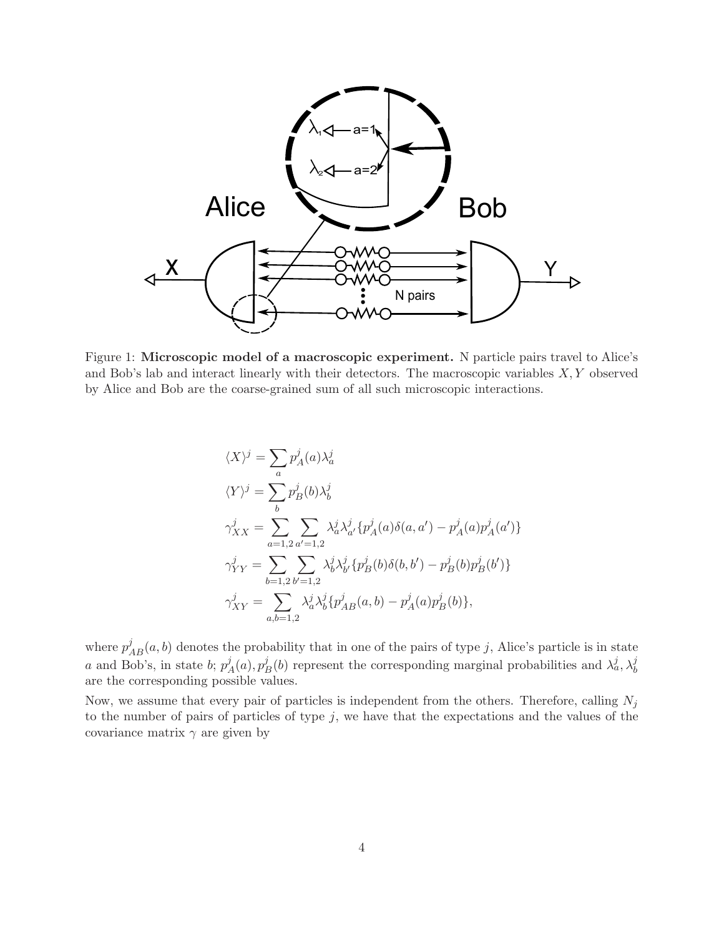

<span id="page-3-0"></span>Figure 1: Microscopic model of a macroscopic experiment. N particle pairs travel to Alice's and Bob's lab and interact linearly with their detectors. The macroscopic variables  $X, Y$  observed by Alice and Bob are the coarse-grained sum of all such microscopic interactions.

$$
\langle X \rangle^{j} = \sum_{a} p_{A}^{j}(a) \lambda_{a}^{j}
$$
  
\n
$$
\langle Y \rangle^{j} = \sum_{b} p_{B}^{j}(b) \lambda_{b}^{j}
$$
  
\n
$$
\gamma_{XX}^{j} = \sum_{a=1,2} \sum_{a'=1,2} \lambda_{a}^{j} \lambda_{a'}^{j} \{p_{A}^{j}(a)\delta(a,a') - p_{A}^{j}(a)p_{A}^{j}(a')\}
$$
  
\n
$$
\gamma_{YY}^{j} = \sum_{b=1,2} \sum_{b'=1,2} \lambda_{b}^{j} \lambda_{b'}^{j} \{p_{B}^{j}(b)\delta(b,b') - p_{B}^{j}(b)p_{B}^{j}(b')\}
$$
  
\n
$$
\gamma_{XY}^{j} = \sum_{a,b=1,2} \lambda_{a}^{j} \lambda_{b}^{j} \{p_{AB}^{j}(a,b) - p_{A}^{j}(a)p_{B}^{j}(b)\},
$$

where  $p_{AB}^j(a, b)$  denotes the probability that in one of the pairs of type j, Alice's particle is in state *a* and Bob's, in state *b*;  $p^j$  $\frac{j}{A}(a), p_I^j$  $\hat{B}_{B}(b)$  represent the corresponding marginal probabilities and  $\lambda_a^j$ ,  $\lambda_b^j$ are the corresponding possible values.

Now, we assume that every pair of particles is independent from the others. Therefore, calling  $N_j$ to the number of pairs of particles of type  $j$ , we have that the expectations and the values of the covariance matrix  $\gamma$  are given by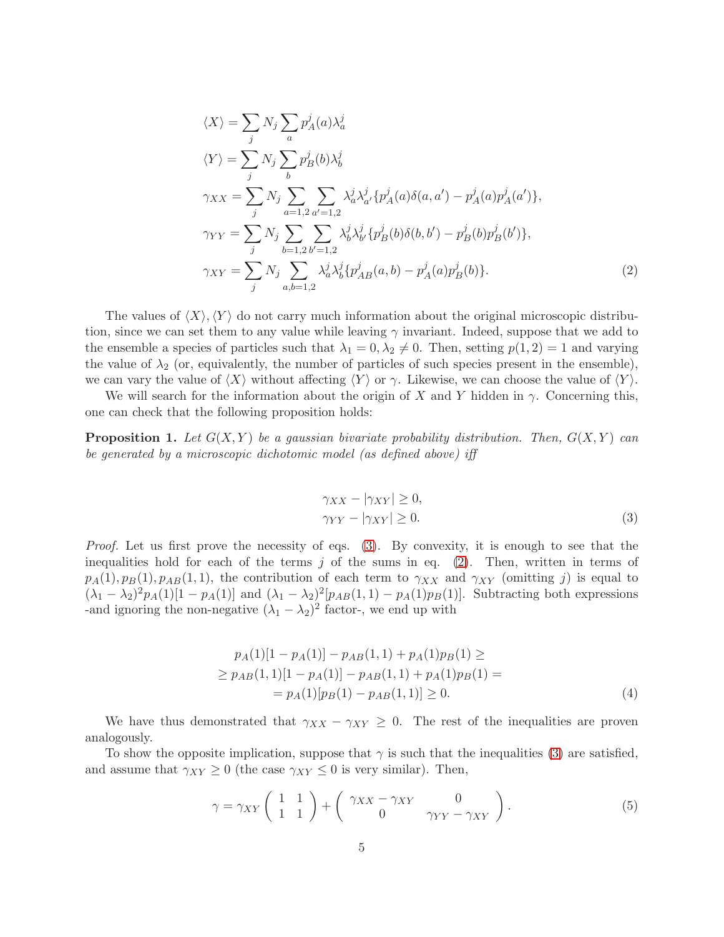<span id="page-4-1"></span>
$$
\langle X \rangle = \sum_{j} N_{j} \sum_{a} p_{A}^{j}(a) \lambda_{a}^{j}
$$
  
\n
$$
\langle Y \rangle = \sum_{j} N_{j} \sum_{b} p_{B}^{j}(b) \lambda_{b}^{j}
$$
  
\n
$$
\gamma_{XX} = \sum_{j} N_{j} \sum_{a=1,2} \sum_{a'=1,2} \lambda_{a}^{j} \lambda_{a'}^{j} \{p_{A}^{j}(a)\delta(a,a') - p_{A}^{j}(a)p_{A}^{j}(a')\},
$$
  
\n
$$
\gamma_{YY} = \sum_{j} N_{j} \sum_{b=1,2} \sum_{b'=1,2} \lambda_{b}^{j} \lambda_{b'}^{j} \{p_{B}^{j}(b)\delta(b,b') - p_{B}^{j}(b)p_{B}^{j}(b')\},
$$
  
\n
$$
\gamma_{XY} = \sum_{j} N_{j} \sum_{a,b=1,2} \lambda_{a}^{j} \lambda_{b}^{j} \{p_{AB}^{j}(a,b) - p_{A}^{j}(a)p_{B}^{j}(b)\}.
$$
\n(2)

The values of  $\langle X \rangle$ ,  $\langle Y \rangle$  do not carry much information about the original microscopic distribution, since we can set them to any value while leaving  $\gamma$  invariant. Indeed, suppose that we add to the ensemble a species of particles such that  $\lambda_1 = 0, \lambda_2 \neq 0$ . Then, setting  $p(1, 2) = 1$  and varying the value of  $\lambda_2$  (or, equivalently, the number of particles of such species present in the ensemble), we can vary the value of  $\langle X \rangle$  without affecting  $\langle Y \rangle$  or  $\gamma$ . Likewise, we can choose the value of  $\langle Y \rangle$ .

We will search for the information about the origin of X and Y hidden in  $\gamma$ . Concerning this, one can check that the following proposition holds:

**Proposition 1.** Let  $G(X, Y)$  be a gaussian bivariate probability distribution. Then,  $G(X, Y)$  can be generated by a microscopic dichotomic model (as defined above) iff

<span id="page-4-0"></span>
$$
\gamma_{XX} - |\gamma_{XY}| \ge 0,
$$
  
\n
$$
\gamma_{YY} - |\gamma_{XY}| \ge 0.
$$
\n(3)

Proof. Let us first prove the necessity of eqs. [\(3\)](#page-4-0). By convexity, it is enough to see that the inequalities hold for each of the terms j of the sums in eq.  $(2)$ . Then, written in terms of  $p_A(1), p_B(1), p_{AB}(1, 1),$  the contribution of each term to  $\gamma_{XX}$  and  $\gamma_{XY}$  (omitting j) is equal to  $(\lambda_1 - \lambda_2)^2 p_A(1) [1 - p_A(1)]$  and  $(\lambda_1 - \lambda_2)^2 [p_{AB}(1, 1) - p_A(1) p_B(1)]$ . Subtracting both expressions -and ignoring the non-negative  $(\lambda_1 - \lambda_2)^2$  factor-, we end up with

$$
p_A(1)[1 - p_A(1)] - p_{AB}(1,1) + p_A(1)p_B(1) \ge
$$
  
\n
$$
\ge p_{AB}(1,1)[1 - p_A(1)] - p_{AB}(1,1) + p_A(1)p_B(1) =
$$
  
\n
$$
= p_A(1)[p_B(1) - p_{AB}(1,1)] \ge 0.
$$
\n(4)

We have thus demonstrated that  $\gamma_{XX} - \gamma_{XY} \geq 0$ . The rest of the inequalities are proven analogously.

To show the opposite implication, suppose that  $\gamma$  is such that the inequalities [\(3\)](#page-4-0) are satisfied, and assume that  $\gamma_{XY} \geq 0$  (the case  $\gamma_{XY} \leq 0$  is very similar). Then,

$$
\gamma = \gamma_{XY} \begin{pmatrix} 1 & 1 \\ 1 & 1 \end{pmatrix} + \begin{pmatrix} \gamma_{XX} - \gamma_{XY} & 0 \\ 0 & \gamma_{YY} - \gamma_{XY} \end{pmatrix} . \tag{5}
$$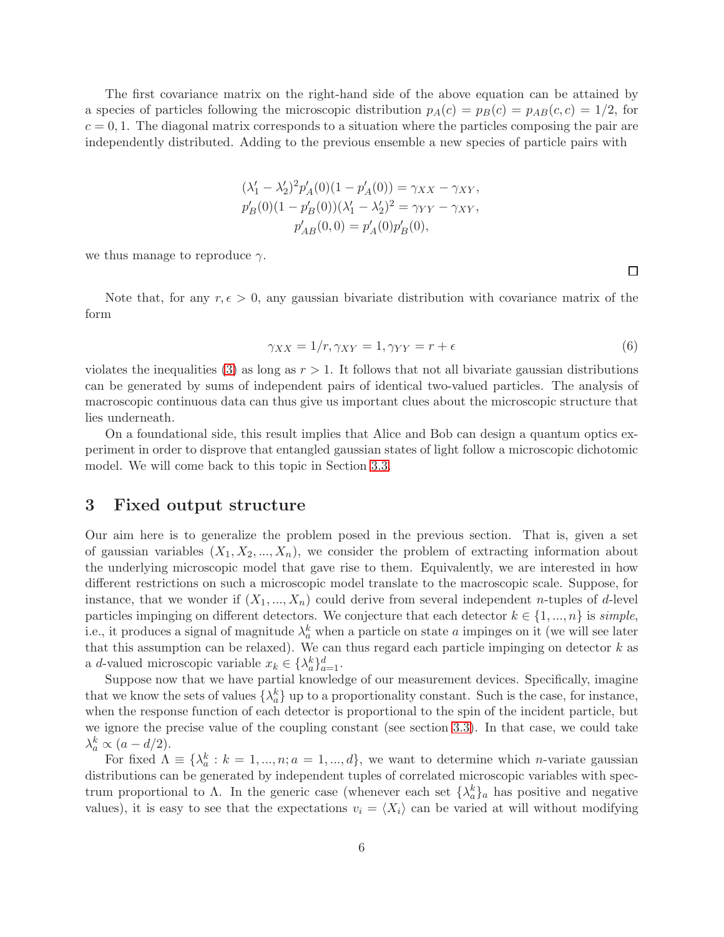The first covariance matrix on the right-hand side of the above equation can be attained by a species of particles following the microscopic distribution  $p_A(c) = p_B(c) = p_{AB}(c, c) = 1/2$ , for  $c = 0, 1$ . The diagonal matrix corresponds to a situation where the particles composing the pair are independently distributed. Adding to the previous ensemble a new species of particle pairs with

$$
(\lambda'_1 - \lambda'_2)^2 p'_A(0)(1 - p'_A(0)) = \gamma_{XX} - \gamma_{XY},
$$
  
\n
$$
p'_B(0)(1 - p'_B(0))(\lambda'_1 - \lambda'_2)^2 = \gamma_{YY} - \gamma_{XY},
$$
  
\n
$$
p'_{AB}(0,0) = p'_A(0)p'_B(0),
$$

we thus manage to reproduce  $\gamma$ .

Note that, for any  $r, \epsilon > 0$ , any gaussian bivariate distribution with covariance matrix of the form

<span id="page-5-1"></span>
$$
\gamma_{XX} = 1/r, \gamma_{XY} = 1, \gamma_{YY} = r + \epsilon \tag{6}
$$

violates the inequalities [\(3\)](#page-4-0) as long as  $r > 1$ . It follows that not all bivariate gaussian distributions can be generated by sums of independent pairs of identical two-valued particles. The analysis of macroscopic continuous data can thus give us important clues about the microscopic structure that lies underneath.

On a foundational side, this result implies that Alice and Bob can design a quantum optics experiment in order to disprove that entangled gaussian states of light follow a microscopic dichotomic model. We will come back to this topic in Section [3.3.](#page-9-0)

### <span id="page-5-0"></span>3 Fixed output structure

Our aim here is to generalize the problem posed in the previous section. That is, given a set of gaussian variables  $(X_1, X_2, ..., X_n)$ , we consider the problem of extracting information about the underlying microscopic model that gave rise to them. Equivalently, we are interested in how different restrictions on such a microscopic model translate to the macroscopic scale. Suppose, for instance, that we wonder if  $(X_1, ..., X_n)$  could derive from several independent *n*-tuples of *d*-level particles impinging on different detectors. We conjecture that each detector  $k \in \{1, ..., n\}$  is simple, i.e., it produces a signal of magnitude  $\lambda_a^k$  when a particle on state a impinges on it (we will see later that this assumption can be relaxed). We can thus regard each particle impinging on detector  $k$  as a *d*-valued microscopic variable  $x_k \in {\{\lambda_a^k\}}_{a=1}^d$ .

Suppose now that we have partial knowledge of our measurement devices. Specifically, imagine that we know the sets of values  $\{\lambda_a^k\}$  up to a proportionality constant. Such is the case, for instance, when the response function of each detector is proportional to the spin of the incident particle, but we ignore the precise value of the coupling constant (see section [3.3\)](#page-9-0). In that case, we could take  $\lambda_a^k \propto (a - d/2).$ 

For fixed  $\Lambda \equiv {\lambda_a^k : k = 1, ..., n; a = 1, ..., d}$ , we want to determine which *n*-variate gaussian distributions can be generated by independent tuples of correlated microscopic variables with spectrum proportional to  $\Lambda$ . In the generic case (whenever each set  $\{\lambda_a^k\}_a$  has positive and negative values), it is easy to see that the expectations  $v_i = \langle X_i \rangle$  can be varied at will without modifying

 $\Box$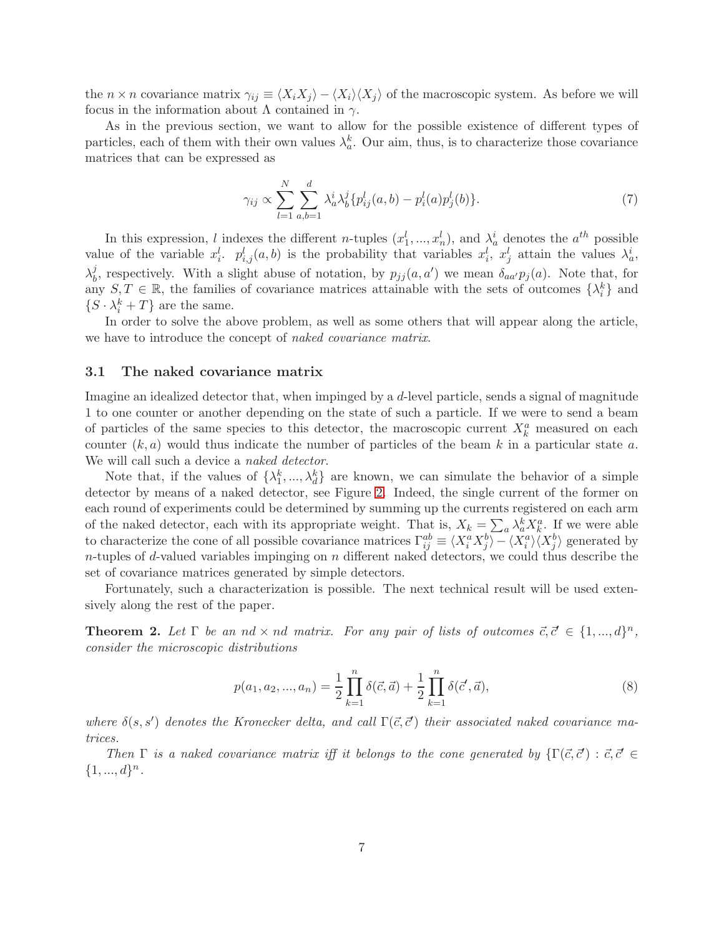the  $n \times n$  covariance matrix  $\gamma_{ij} \equiv \langle X_i X_j \rangle - \langle X_i \rangle \langle X_j \rangle$  of the macroscopic system. As before we will focus in the information about  $\Lambda$  contained in  $\gamma$ .

As in the previous section, we want to allow for the possible existence of different types of particles, each of them with their own values  $\lambda_a^k$ . Our aim, thus, is to characterize those covariance matrices that can be expressed as

$$
\gamma_{ij} \propto \sum_{l=1}^{N} \sum_{a,b=1}^{d} \lambda_a^i \lambda_b^j \{ p_{ij}^l(a,b) - p_i^l(a) p_j^l(b) \}.
$$
 (7)

In this expression, l indexes the different n-tuples  $(x_1^l, ..., x_n^l)$ , and  $\lambda_a^i$  denotes the  $a^{th}$  possible value of the variable  $x_i^l$ ,  $p_{i,j}^l(a, b)$  is the probability that variables  $x_i^l$ ,  $x_j^l$  attain the values  $\lambda_a^i$ ,  $\lambda_h^j$ <sup>*f*</sup><sub>b</sub>, respectively. With a slight abuse of notation, by  $p_{jj}(a, a')$  we mean  $\delta_{aa'}p_j(a)$ . Note that, for any  $S, T \in \mathbb{R}$ , the families of covariance matrices attainable with the sets of outcomes  $\{\lambda_i^k\}$  and  $\{S \cdot \lambda_i^k + T\}$  are the same.

In order to solve the above problem, as well as some others that will appear along the article, we have to introduce the concept of naked covariance matrix.

#### 3.1 The naked covariance matrix

Imagine an idealized detector that, when impinged by a d-level particle, sends a signal of magnitude 1 to one counter or another depending on the state of such a particle. If we were to send a beam of particles of the same species to this detector, the macroscopic current  $X_k^a$  measured on each counter  $(k, a)$  would thus indicate the number of particles of the beam k in a particular state a. We will call such a device a *naked detector*.

Note that, if the values of  $\{\lambda_1^k, ..., \lambda_d^k\}$  are known, we can simulate the behavior of a simple detector by means of a naked detector, see Figure [2.](#page-7-0) Indeed, the single current of the former on each round of experiments could be determined by summing up the currents registered on each arm of the naked detector, each with its appropriate weight. That is,  $X_k = \sum_a \lambda_a^k X_k^a$ . If we were able to characterize the cone of all possible covariance matrices  $\Gamma_{ij}^{ab} \equiv \langle X_i^a X_j^b \rangle - \langle X_i^a \rangle \langle X_j^b \rangle$  generated by  $n$ -tuples of d-valued variables impinging on n different naked detectors, we could thus describe the set of covariance matrices generated by simple detectors.

Fortunately, such a characterization is possible. The next technical result will be used extensively along the rest of the paper.

<span id="page-6-0"></span>**Theorem 2.** Let  $\Gamma$  be an  $nd \times nd$  matrix. For any pair of lists of outcomes  $\vec{c}, \vec{c}' \in \{1, ..., d\}^n$ , consider the microscopic distributions

$$
p(a_1, a_2, ..., a_n) = \frac{1}{2} \prod_{k=1}^n \delta(\vec{c}, \vec{a}) + \frac{1}{2} \prod_{k=1}^n \delta(\vec{c}', \vec{a}),
$$
\n(8)

where  $\delta(s, s')$  denotes the Kronecker delta, and call  $\Gamma(\vec{c}, \vec{c}')$  their associated naked covariance matrices.

Then  $\Gamma$  is a naked covariance matrix iff it belongs to the cone generated by  $\{\Gamma(\vec{c}, \vec{c}') : \vec{c}, \vec{c}' \in \mathbb{R}\}$  $\{1, ..., d\}^n$ .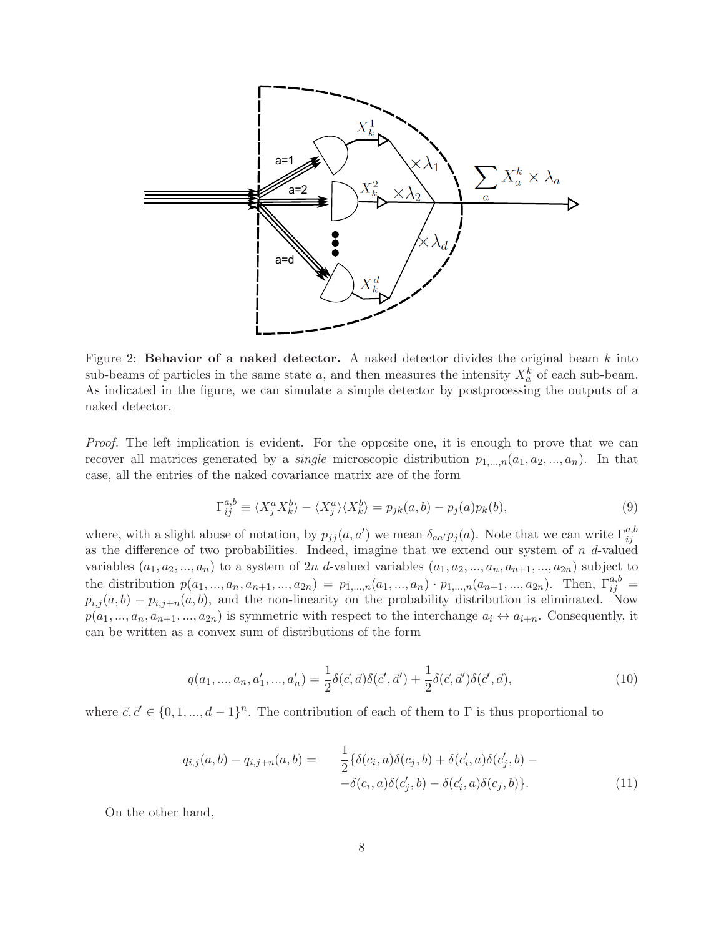

<span id="page-7-0"></span>Figure 2: Behavior of a naked detector. A naked detector divides the original beam  $k$  into sub-beams of particles in the same state a, and then measures the intensity  $X_a^k$  of each sub-beam. As indicated in the figure, we can simulate a simple detector by postprocessing the outputs of a naked detector.

Proof. The left implication is evident. For the opposite one, it is enough to prove that we can recover all matrices generated by a *single* microscopic distribution  $p_{1,...,n}(a_1, a_2, ..., a_n)$ . In that case, all the entries of the naked covariance matrix are of the form

$$
\Gamma_{ij}^{a,b} \equiv \langle X_j^a X_k^b \rangle - \langle X_j^a \rangle \langle X_k^b \rangle = p_{jk}(a,b) - p_j(a)p_k(b),\tag{9}
$$

where, with a slight abuse of notation, by  $p_{jj}(a, a')$  we mean  $\delta_{aa'}p_j(a)$ . Note that we can write  $\Gamma^{a,b}_{ij}$ as the difference of two probabilities. Indeed, imagine that we extend our system of  $n \, d$ -valued variables  $(a_1, a_2, ..., a_n)$  to a system of 2n d-valued variables  $(a_1, a_2, ..., a_n, a_{n+1}, ..., a_{2n})$  subject to the distribution  $p(a_1, ..., a_n, a_{n+1}, ..., a_{2n}) = p_{1,...,n}(a_1, ..., a_n) \cdot p_{1,...,n}(a_{n+1}, ..., a_{2n})$ . Then,  $\Gamma_{ij}^{a,b} =$  $p_{i,j}(a, b) - p_{i,j+n}(a, b)$ , and the non-linearity on the probability distribution is eliminated. Now  $p(a_1, ..., a_n, a_{n+1}, ..., a_{2n})$  is symmetric with respect to the interchange  $a_i \leftrightarrow a_{i+n}$ . Consequently, it can be written as a convex sum of distributions of the form

$$
q(a_1, ..., a_n, a'_1, ..., a'_n) = \frac{1}{2}\delta(\vec{c}, \vec{a})\delta(\vec{c}', \vec{a}') + \frac{1}{2}\delta(\vec{c}, \vec{a}')\delta(\vec{c}', \vec{a}),
$$
\n(10)

where  $\vec{c}, \vec{c}' \in \{0, 1, ..., d-1\}^n$ . The contribution of each of them to  $\Gamma$  is thus proportional to

$$
q_{i,j}(a,b) - q_{i,j+n}(a,b) = \frac{1}{2} \{ \delta(c_i, a) \delta(c_j, b) + \delta(c'_i, a) \delta(c'_j, b) - \\ -\delta(c_i, a) \delta(c'_j, b) - \delta(c'_i, a) \delta(c_j, b) \}.
$$
\n(11)

On the other hand,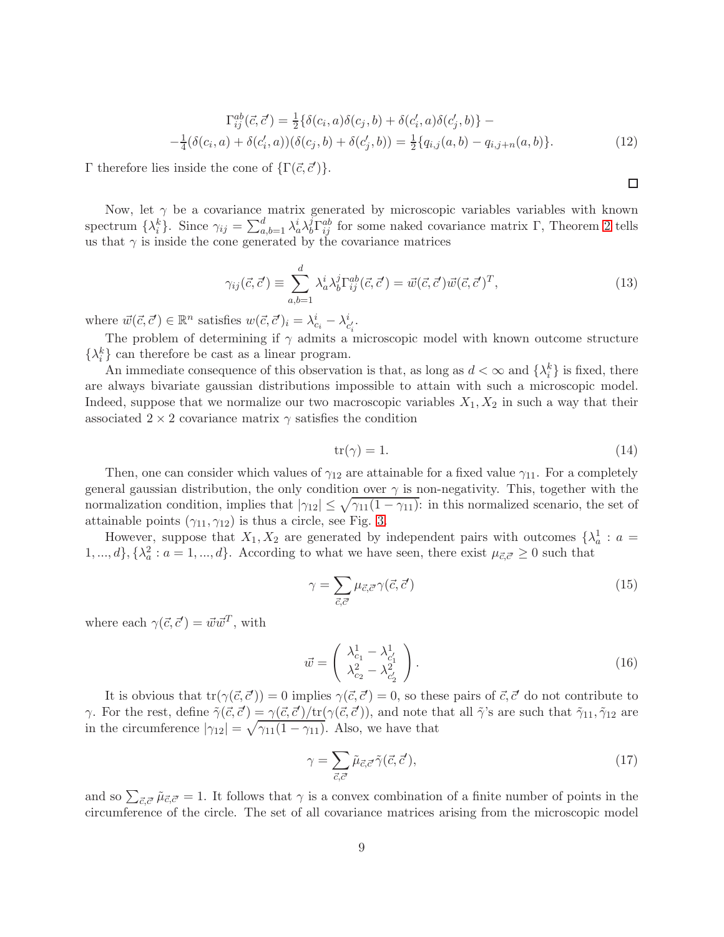$$
\Gamma_{ij}^{ab}(\vec{c}, \vec{c}') = \frac{1}{2} \{ \delta(c_i, a) \delta(c_j, b) + \delta(c'_i, a) \delta(c'_j, b) \} - \frac{1}{4} (\delta(c_i, a) + \delta(c'_i, a)) (\delta(c_j, b) + \delta(c'_j, b)) = \frac{1}{2} \{ q_{i,j}(a, b) - q_{i,j+n}(a, b) \}.
$$
\n(12)

 $Γ$  therefore lies inside the cone of  ${Γ(č, č)}$ .

Now, let  $\gamma$  be a covariance matrix generated by microscopic variables variables with known spectrum  $\{\lambda_i^k\}$ . Since  $\gamma_{ij} = \sum_{a,b=1}^d \lambda_a^i \lambda_b^j$  ${}_{b}^{j} \Gamma_{ij}^{ab}$  for some naked covariance matrix  $\Gamma$ , Theorem [2](#page-6-0) tells us that  $\gamma$  is inside the cone generated by the covariance matrices

$$
\gamma_{ij}(\vec{c}, \vec{c}') \equiv \sum_{a,b=1}^{d} \lambda_a^i \lambda_b^j \Gamma_{ij}^{ab}(\vec{c}, \vec{c}') = \vec{w}(\vec{c}, \vec{c}') \vec{w}(\vec{c}, \vec{c}')^T,\tag{13}
$$

where  $\vec{w}(\vec{c}, \vec{c}') \in \mathbb{R}^n$  satisfies  $w(\vec{c}, \vec{c}')_i = \lambda_{c_i}^i - \lambda_{c'_i}^i$ .

The problem of determining if  $\gamma$  admits a microscopic model with known outcome structure  $\{\lambda_i^k\}$  can therefore be cast as a linear program.

An immediate consequence of this observation is that, as long as  $d < \infty$  and  $\{\lambda_i^k\}$  is fixed, there are always bivariate gaussian distributions impossible to attain with such a microscopic model. Indeed, suppose that we normalize our two macroscopic variables  $X_1, X_2$  in such a way that their associated  $2 \times 2$  covariance matrix  $\gamma$  satisfies the condition

<span id="page-8-0"></span>
$$
tr(\gamma) = 1.
$$
\n<sup>(14)</sup>

Then, one can consider which values of  $\gamma_{12}$  are attainable for a fixed value  $\gamma_{11}$ . For a completely general gaussian distribution, the only condition over  $\gamma$  is non-negativity. This, together with the normalization condition, implies that  $|\gamma_{12}| \leq \sqrt{\gamma_{11}(1-\gamma_{11})}$ : in this normalized scenario, the set of attainable points  $(\gamma_{11}, \gamma_{12})$  is thus a circle, see Fig. [3.](#page-10-0)

However, suppose that  $X_1, X_2$  are generated by independent pairs with outcomes  $\{\lambda_a^1 : a =$  $1, ..., d\}, \{\lambda_a^2 : a = 1, ..., d\}.$  According to what we have seen, there exist  $\mu_{\vec{c}, \vec{c}'} \geq 0$  such that

$$
\gamma = \sum_{\vec{c}, \vec{c}'} \mu_{\vec{c}, \vec{c}'} \gamma(\vec{c}, \vec{c}') \tag{15}
$$

where each  $\gamma(\vec{c}, \vec{c}') = \vec{w}\vec{w}^T$ , with

$$
\vec{w} = \begin{pmatrix} \lambda_{c_1}^1 - \lambda_{c'_1}^1 \\ \lambda_{c_2}^2 - \lambda_{c'_2}^2 \end{pmatrix} . \tag{16}
$$

It is obvious that  $tr(\gamma(\vec{c}, \vec{c}')) = 0$  implies  $\gamma(\vec{c}, \vec{c}') = 0$ , so these pairs of  $\vec{c}, \vec{c}'$  do not contribute to  $\gamma$ . For the rest, define  $\tilde{\gamma}(\vec{c}, \vec{c}') = \gamma(\vec{c}, \vec{c}')/\text{tr}(\gamma(\vec{c}, \vec{c}'))$ , and note that all  $\tilde{\gamma}$ 's are such that  $\tilde{\gamma}_{11}, \tilde{\gamma}_{12}$  are in the circumference  $|\gamma_{12}| = \sqrt{\gamma_{11}(1 - \gamma_{11})}$ . Also, we have that

<span id="page-8-1"></span>
$$
\gamma = \sum_{\vec{c}, \vec{c}'} \tilde{\mu}_{\vec{c}, \vec{c}'} \tilde{\gamma}(\vec{c}, \vec{c}'), \tag{17}
$$

and so  $\sum_{\vec{c},\vec{c}'} \tilde{\mu}_{\vec{c},\vec{c}'} = 1$ . It follows that  $\gamma$  is a convex combination of a finite number of points in the circumference of the circle. The set of all covariance matrices arising from the microscopic model

 $\Box$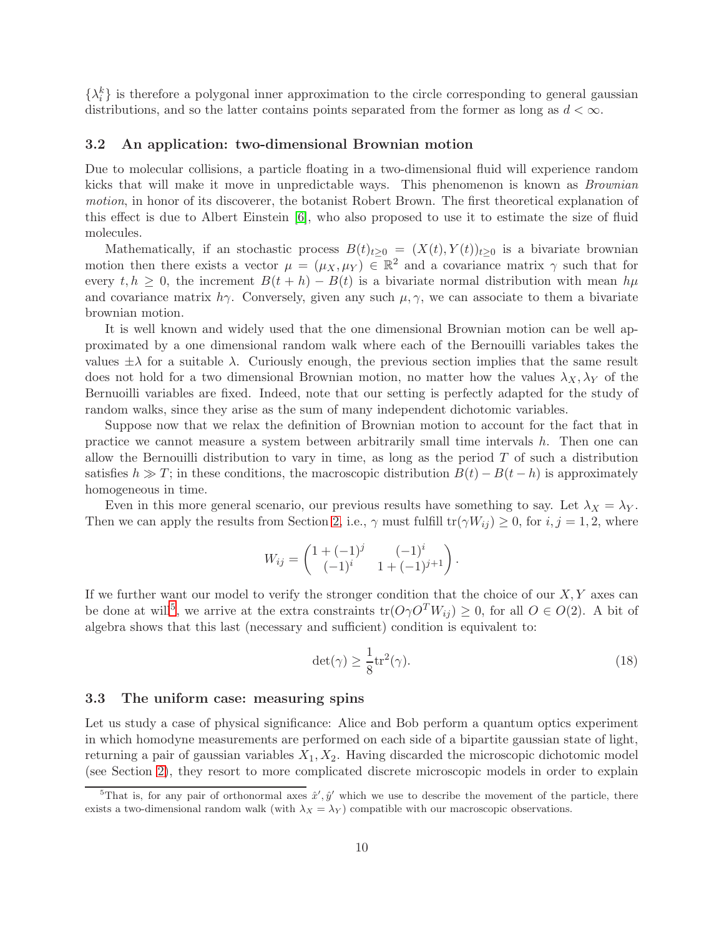$\{\lambda_i^k\}$  is therefore a polygonal inner approximation to the circle corresponding to general gaussian distributions, and so the latter contains points separated from the former as long as  $d < \infty$ .

#### 3.2 An application: two-dimensional Brownian motion

Due to molecular collisions, a particle floating in a two-dimensional fluid will experience random kicks that will make it move in unpredictable ways. This phenomenon is known as Brownian motion, in honor of its discoverer, the botanist Robert Brown. The first theoretical explanation of this effect is due to Albert Einstein [\[6\]](#page-30-4), who also proposed to use it to estimate the size of fluid molecules.

Mathematically, if an stochastic process  $B(t)_{t\geq0} = (X(t), Y(t))_{t\geq0}$  is a bivariate brownian motion then there exists a vector  $\mu = (\mu_X, \mu_Y) \in \mathbb{R}^2$  and a covariance matrix  $\gamma$  such that for every  $t, h \geq 0$ , the increment  $B(t + h) - B(t)$  is a bivariate normal distribution with mean  $h\mu$ and covariance matrix  $h\gamma$ . Conversely, given any such  $\mu, \gamma$ , we can associate to them a bivariate brownian motion.

It is well known and widely used that the one dimensional Brownian motion can be well approximated by a one dimensional random walk where each of the Bernouilli variables takes the values  $\pm\lambda$  for a suitable  $\lambda$ . Curiously enough, the previous section implies that the same result does not hold for a two dimensional Brownian motion, no matter how the values  $\lambda_X, \lambda_Y$  of the Bernuoilli variables are fixed. Indeed, note that our setting is perfectly adapted for the study of random walks, since they arise as the sum of many independent dichotomic variables.

Suppose now that we relax the definition of Brownian motion to account for the fact that in practice we cannot measure a system between arbitrarily small time intervals  $h$ . Then one can allow the Bernouilli distribution to vary in time, as long as the period  $T$  of such a distribution satisfies  $h \gg T$ ; in these conditions, the macroscopic distribution  $B(t) - B(t - h)$  is approximately homogeneous in time.

Even in this more general scenario, our previous results have something to say. Let  $\lambda_X = \lambda_Y$ . Then we can apply the results from Section [2,](#page-2-2) i.e.,  $\gamma$  must fulfill  $tr(\gamma W_{ij}) \geq 0$ , for  $i, j = 1, 2$ , where

$$
W_{ij} = \begin{pmatrix} 1 + (-1)^j & (-1)^i \\ (-1)^i & 1 + (-1)^{j+1} \end{pmatrix}.
$$

If we further want our model to verify the stronger condition that the choice of our  $X, Y$  axes can be done at will<sup>[5](#page-9-1)</sup>, we arrive at the extra constraints  $tr(O\gamma O^T W_{ij}) \geq 0$ , for all  $O \in O(2)$ . A bit of algebra shows that this last (necessary and sufficient) condition is equivalent to:

$$
\det(\gamma) \ge \frac{1}{8} \text{tr}^2(\gamma). \tag{18}
$$

#### <span id="page-9-0"></span>3.3 The uniform case: measuring spins

Let us study a case of physical significance: Alice and Bob perform a quantum optics experiment in which homodyne measurements are performed on each side of a bipartite gaussian state of light, returning a pair of gaussian variables  $X_1, X_2$ . Having discarded the microscopic dichotomic model (see Section [2\)](#page-2-2), they resort to more complicated discrete microscopic models in order to explain

<span id="page-9-1"></span><sup>&</sup>lt;sup>5</sup>That is, for any pair of orthonormal axes  $\hat{x}', \hat{y}'$  which we use to describe the movement of the particle, there exists a two-dimensional random walk (with  $\lambda_X = \lambda_Y$ ) compatible with our macroscopic observations.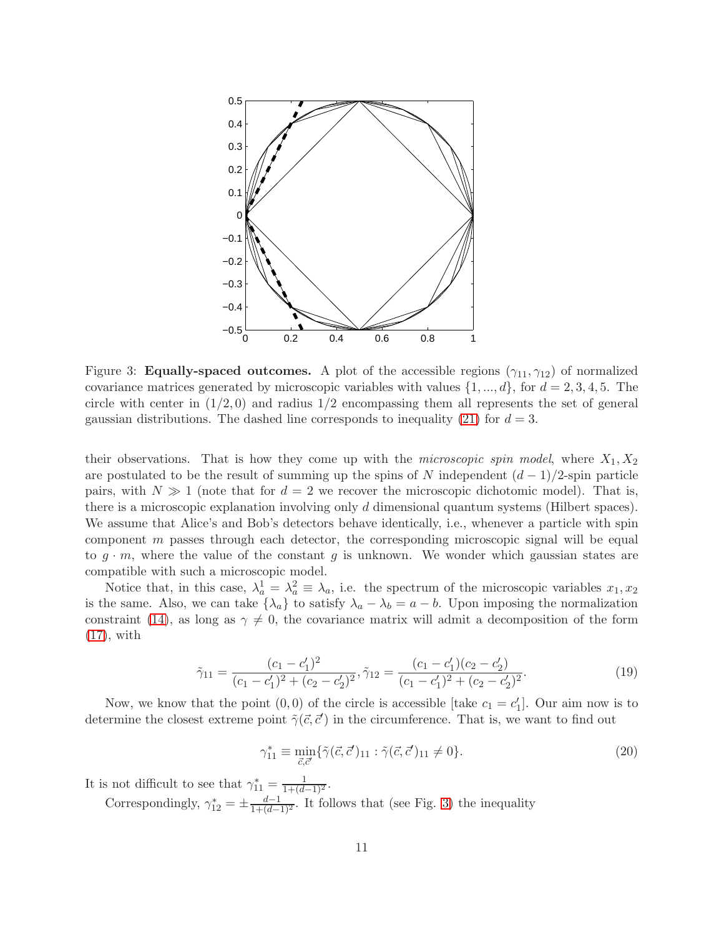

<span id="page-10-0"></span>Figure 3: **Equally-spaced outcomes.** A plot of the accessible regions  $(\gamma_{11}, \gamma_{12})$  of normalized covariance matrices generated by microscopic variables with values  $\{1, ..., d\}$ , for  $d = 2, 3, 4, 5$ . The circle with center in  $(1/2, 0)$  and radius  $1/2$  encompassing them all represents the set of general gaussian distributions. The dashed line corresponds to inequality [\(21\)](#page-11-0) for  $d = 3$ .

their observations. That is how they come up with the microscopic spin model, where  $X_1, X_2$ are postulated to be the result of summing up the spins of N independent  $(d-1)/2$ -spin particle pairs, with  $N \gg 1$  (note that for  $d = 2$  we recover the microscopic dichotomic model). That is, there is a microscopic explanation involving only d dimensional quantum systems (Hilbert spaces). We assume that Alice's and Bob's detectors behave identically, i.e., whenever a particle with spin component m passes through each detector, the corresponding microscopic signal will be equal to  $g \cdot m$ , where the value of the constant g is unknown. We wonder which gaussian states are compatible with such a microscopic model.

Notice that, in this case,  $\lambda_a^1 = \lambda_a^2 \equiv \lambda_a$ , i.e. the spectrum of the microscopic variables  $x_1, x_2$ is the same. Also, we can take  $\{\lambda_a\}$  to satisfy  $\lambda_a - \lambda_b = a - b$ . Upon imposing the normalization constraint [\(14\)](#page-8-0), as long as  $\gamma \neq 0$ , the covariance matrix will admit a decomposition of the form [\(17\)](#page-8-1), with

$$
\tilde{\gamma}_{11} = \frac{(c_1 - c_1')^2}{(c_1 - c_1')^2 + (c_2 - c_2')^2}, \tilde{\gamma}_{12} = \frac{(c_1 - c_1')(c_2 - c_2')}{(c_1 - c_1')^2 + (c_2 - c_2')^2}.
$$
\n(19)

Now, we know that the point  $(0,0)$  of the circle is accessible [take  $c_1 = c'_1$ ]. Our aim now is to determine the closest extreme point  $\tilde{\gamma}(\vec{c}, \vec{c}')$  in the circumference. That is, we want to find out

$$
\gamma_{11}^* \equiv \min_{\vec{c}, \vec{c}'} \{ \tilde{\gamma}(\vec{c}, \vec{c}')_{11} : \tilde{\gamma}(\vec{c}, \vec{c}')_{11} \neq 0 \}. \tag{20}
$$

It is not difficult to see that  $\gamma_{11}^* = \frac{1}{1 + (d-1)^2}$ .

Correspondingly,  $\gamma_{12}^* = \pm \frac{d-1}{1+(d-1)^2}$ . It follows that (see Fig. [3\)](#page-10-0) the inequality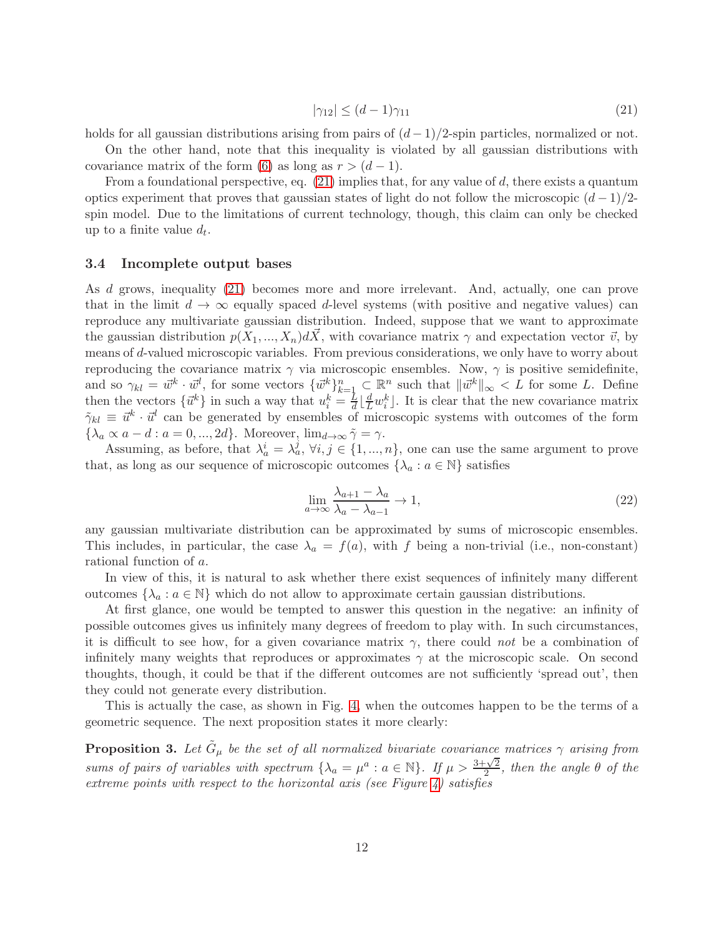<span id="page-11-0"></span>
$$
|\gamma_{12}| \le (d-1)\gamma_{11} \tag{21}
$$

holds for all gaussian distributions arising from pairs of  $(d-1)/2$ -spin particles, normalized or not.

On the other hand, note that this inequality is violated by all gaussian distributions with covariance matrix of the form [\(6\)](#page-5-1) as long as  $r > (d-1)$ .

From a foundational perspective, eq.  $(21)$  implies that, for any value of d, there exists a quantum optics experiment that proves that gaussian states of light do not follow the microscopic  $(d-1)/2$ spin model. Due to the limitations of current technology, though, this claim can only be checked up to a finite value  $d_t$ .

#### 3.4 Incomplete output bases

As d grows, inequality [\(21\)](#page-11-0) becomes more and more irrelevant. And, actually, one can prove that in the limit  $d \to \infty$  equally spaced d-level systems (with positive and negative values) can reproduce any multivariate gaussian distribution. Indeed, suppose that we want to approximate the gaussian distribution  $p(X_1, ..., X_n)d\vec{X}$ , with covariance matrix  $\gamma$  and expectation vector  $\vec{v}$ , by means of d-valued microscopic variables. From previous considerations, we only have to worry about reproducing the covariance matrix  $\gamma$  via microscopic ensembles. Now,  $\gamma$  is positive semidefinite, and so  $\gamma_{kl} = \vec{w}^k \cdot \vec{w}^l$ , for some vectors  $\{\vec{w}^k\}_{k=1}^n \subset \mathbb{R}^n$  such that  $\|\vec{w}^k\|_{\infty} < L$  for some L. Define then the vectors  $\{\vec{u}^k\}$  in such a way that  $u_i^k = \frac{L}{d}$  $\frac{L}{d} \left[ \frac{d}{L} w_i^k \right]$ . It is clear that the new covariance matrix  $\tilde{\gamma}_{kl} \equiv \vec{u}^k \cdot \vec{u}^l$  can be generated by ensembles of microscopic systems with outcomes of the form  $\{\lambda_a \propto a - d : a = 0, ..., 2d\}$ . Moreover,  $\lim_{d\to\infty} \tilde{\gamma} = \gamma$ .

Assuming, as before, that  $\lambda_a^i = \lambda_a^j$ ,  $\forall i, j \in \{1, ..., n\}$ , one can use the same argument to prove that, as long as our sequence of microscopic outcomes  $\{\lambda_a : a \in \mathbb{N}\}\$  satisfies

$$
\lim_{a \to \infty} \frac{\lambda_{a+1} - \lambda_a}{\lambda_a - \lambda_{a-1}} \to 1,\tag{22}
$$

any gaussian multivariate distribution can be approximated by sums of microscopic ensembles. This includes, in particular, the case  $\lambda_a = f(a)$ , with f being a non-trivial (i.e., non-constant) rational function of a.

In view of this, it is natural to ask whether there exist sequences of infinitely many different outcomes  $\{\lambda_a : a \in \mathbb{N}\}\$  which do not allow to approximate certain gaussian distributions.

At first glance, one would be tempted to answer this question in the negative: an infinity of possible outcomes gives us infinitely many degrees of freedom to play with. In such circumstances, it is difficult to see how, for a given covariance matrix  $\gamma$ , there could not be a combination of infinitely many weights that reproduces or approximates  $\gamma$  at the microscopic scale. On second thoughts, though, it could be that if the different outcomes are not sufficiently 'spread out', then they could not generate every distribution.

This is actually the case, as shown in Fig. [4,](#page-12-0) when the outcomes happen to be the terms of a geometric sequence. The next proposition states it more clearly:

**Proposition 3.** Let  $\tilde{G}_{\mu}$  be the set of all normalized bivariate covariance matrices  $\gamma$  arising from sums of pairs of variables with spectrum  $\{\lambda_a = \mu^a : a \in \mathbb{N}\}\$ . If  $\mu > \frac{3+\sqrt{2}}{2}$  $\frac{-\sqrt{2}}{2}$ , then the angle  $\theta$  of the extreme points with respect to the horizontal axis (see Figure [4\)](#page-12-0) satisfies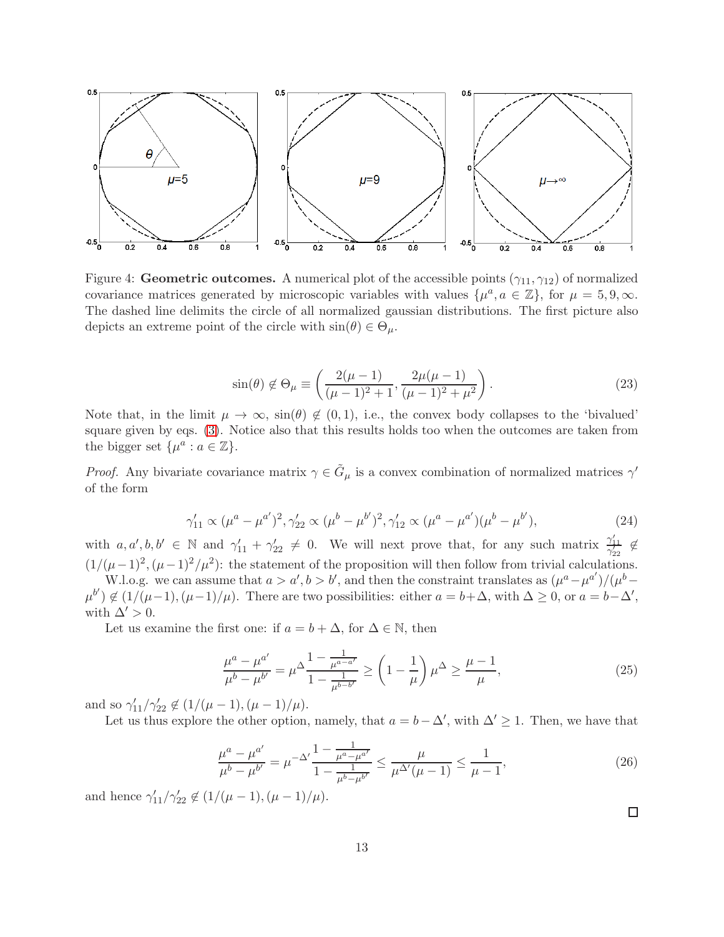

<span id="page-12-0"></span>Figure 4: Geometric outcomes. A numerical plot of the accessible points  $(\gamma_{11}, \gamma_{12})$  of normalized covariance matrices generated by microscopic variables with values  $\{\mu^a, a \in \mathbb{Z}\},\$  for  $\mu = 5, 9, \infty$ . The dashed line delimits the circle of all normalized gaussian distributions. The first picture also depicts an extreme point of the circle with  $sin(\theta) \in \Theta_{\mu}$ .

$$
\sin(\theta) \notin \Theta_{\mu} \equiv \left( \frac{2(\mu - 1)}{(\mu - 1)^2 + 1}, \frac{2\mu(\mu - 1)}{(\mu - 1)^2 + \mu^2} \right). \tag{23}
$$

Note that, in the limit  $\mu \to \infty$ ,  $\sin(\theta) \notin (0, 1)$ , i.e., the convex body collapses to the 'bivalued' square given by eqs. [\(3\)](#page-4-0). Notice also that this results holds too when the outcomes are taken from the bigger set  $\{\mu^a : a \in \mathbb{Z}\}.$ 

*Proof.* Any bivariate covariance matrix  $\gamma \in \tilde{G}_{\mu}$  is a convex combination of normalized matrices  $\gamma'$ of the form

$$
\gamma'_{11} \propto (\mu^a - \mu^{a'})^2, \gamma'_{22} \propto (\mu^b - \mu^{b'})^2, \gamma'_{12} \propto (\mu^a - \mu^{a'})(\mu^b - \mu^{b'}),
$$
\n(24)

with  $a, a', b, b' \in \mathbb{N}$  and  $\gamma'_{11} + \gamma'_{22} \neq 0$ . We will next prove that, for any such matrix  $\frac{\gamma'_{11}}{\gamma'_{22}} \notin$  $(1/(\mu-1)^2,(\mu-1)^2/\mu^2)$ : the statement of the proposition will then follow from trivial calculations. W.l.o.g. we can assume that  $a > a', b > b'$ , and then the constraint translates as  $(\mu^a - \mu^{a'})/(\mu^b -$ 

 $\mu^{b'}$ )  $\notin (1/(\mu-1),(\mu-1)/\mu)$ . There are two possibilities: either  $a = b + \Delta$ , with  $\Delta \geq 0$ , or  $a = b - \Delta'$ , with  $\Delta' > 0$ .

Let us examine the first one: if  $a = b + \Delta$ , for  $\Delta \in \mathbb{N}$ , then

$$
\frac{\mu^a - \mu^{a'}}{\mu^b - \mu^{b'}} = \mu^{\Delta} \frac{1 - \frac{1}{\mu^{a-a'}}}{1 - \frac{1}{\mu^{b-b'}}} \ge \left(1 - \frac{1}{\mu}\right) \mu^{\Delta} \ge \frac{\mu - 1}{\mu},\tag{25}
$$

and so  $\gamma'_{11}/\gamma'_{22} \notin (1/(\mu - 1), (\mu - 1)/\mu).$ 

Let us thus explore the other option, namely, that  $a = b - \Delta'$ , with  $\Delta' \geq 1$ . Then, we have that

$$
\frac{\mu^a - \mu^{a'}}{\mu^b - \mu^{b'}} = \mu^{-\Delta'} \frac{1 - \frac{1}{\mu^a - \mu^{a'}}}{1 - \frac{1}{\mu^b - \mu^{b'}}} \le \frac{\mu}{\mu^{\Delta'}(\mu - 1)} \le \frac{1}{\mu - 1},\tag{26}
$$

and hence  $\gamma'_{11}/\gamma'_{22} \notin (1/(\mu - 1), (\mu - 1)/\mu)$ .

 $\Box$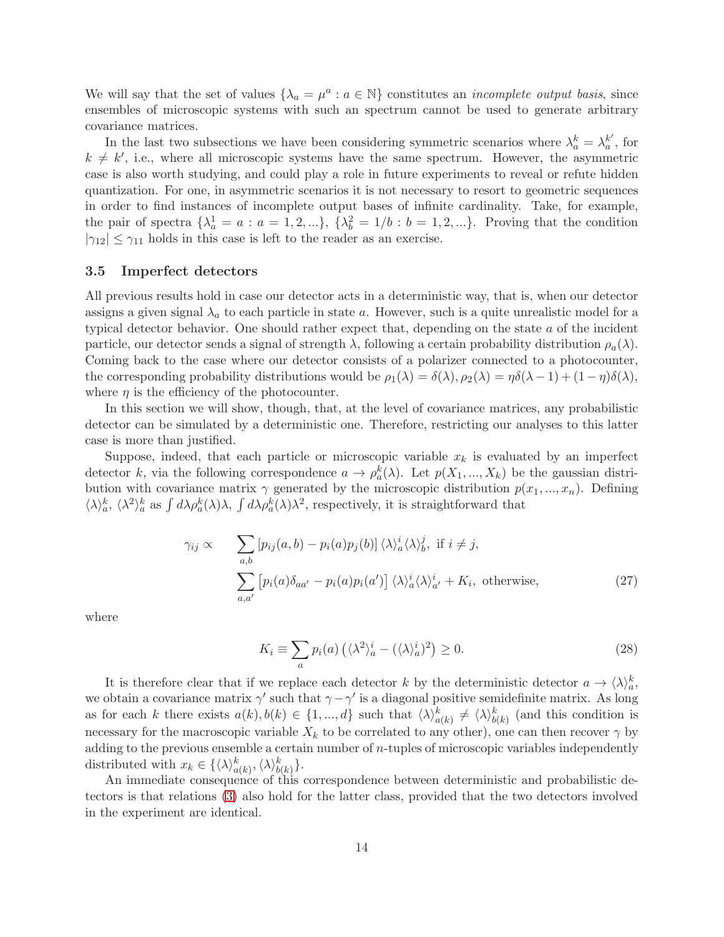We will say that the set of values  $\{\lambda_a = \mu^a : a \in \mathbb{N}\}$  constitutes an *incomplete output basis*, since ensembles of microscopic systems with such an spectrum cannot be used to generate arbitrary covariance matrices.

In the last two subsections we have been considering symmetric scenarios where  $\lambda_a^k = \lambda_a^{k'}$  $a^{k'}$ , for  $k \neq k'$ , i.e., where all microscopic systems have the same spectrum. However, the asymmetric case is also worth studying, and could play a role in future experiments to reveal or refute hidden quantization. For one, in asymmetric scenarios it is not necessary to resort to geometric sequences in order to find instances of incomplete output bases of infinite cardinality. Take, for example, the pair of spectra  $\{\lambda_a^1 = a : a = 1, 2, ...\}$ ,  $\{\lambda_b^2 = 1/b : b = 1, 2, ...\}$ . Proving that the condition  $|\gamma_{12}| \leq \gamma_{11}$  holds in this case is left to the reader as an exercise.

### 3.5 Imperfect detectors

All previous results hold in case our detector acts in a deterministic way, that is, when our detector assigns a given signal  $\lambda_a$  to each particle in state a. However, such is a quite unrealistic model for a typical detector behavior. One should rather expect that, depending on the state a of the incident particle, our detector sends a signal of strength  $\lambda$ , following a certain probability distribution  $\rho_a(\lambda)$ . Coming back to the case where our detector consists of a polarizer connected to a photocounter, the corresponding probability distributions would be  $\rho_1(\lambda) = \delta(\lambda)$ ,  $\rho_2(\lambda) = \eta \delta(\lambda - 1) + (1 - \eta) \delta(\lambda)$ , where  $\eta$  is the efficiency of the photocounter.

In this section we will show, though, that, at the level of covariance matrices, any probabilistic detector can be simulated by a deterministic one. Therefore, restricting our analyses to this latter case is more than justified.

Suppose, indeed, that each particle or microscopic variable  $x_k$  is evaluated by an imperfect detector k, via the following correspondence  $a \to \rho_a^k(\lambda)$ . Let  $p(X_1, ..., X_k)$  be the gaussian distribution with covariance matrix  $\gamma$  generated by the microscopic distribution  $p(x_1, ..., x_n)$ . Defining  $\langle \lambda \rangle_a^k$ ,  $\langle \lambda^2 \rangle_a^k$  as  $\int d\lambda \rho_a^k(\lambda) \lambda$ ,  $\int d\lambda \rho_a^k(\lambda) \lambda^2$ , respectively, it is straightforward that

$$
\gamma_{ij} \propto \sum_{a,b} \left[ p_{ij}(a,b) - p_i(a)p_j(b) \right] \langle \lambda \rangle_a^i \langle \lambda \rangle_b^j, \text{ if } i \neq j,
$$
  

$$
\sum_{a,a'} \left[ p_i(a)\delta_{aa'} - p_i(a)p_i(a') \right] \langle \lambda \rangle_a^i \langle \lambda \rangle_{a'}^i + K_i, \text{ otherwise,}
$$
 (27)

where

$$
K_i \equiv \sum_a p_i(a) \left( \langle \lambda^2 \rangle_a^i - (\langle \lambda \rangle_a^i)^2 \right) \ge 0. \tag{28}
$$

It is therefore clear that if we replace each detector k by the deterministic detector  $a \to \langle \lambda \rangle_a^k$ , we obtain a covariance matrix  $\gamma'$  such that  $\gamma - \gamma'$  is a diagonal positive semidefinite matrix. As long as for each k there exists  $a(k), b(k) \in \{1, ..., d\}$  such that  $\langle \lambda \rangle_{a(k)}^k \neq \langle \lambda \rangle_{b(k)}^k$  (and this condition is necessary for the macroscopic variable  $X_k$  to be correlated to any other), one can then recover  $\gamma$  by adding to the previous ensemble a certain number of  $n$ -tuples of microscopic variables independently distributed with  $x_k \in {\{\langle \lambda \rangle^k_{a(k)}, \langle \lambda \rangle^k_{b(k)}}}.$ 

An immediate consequence of this correspondence between deterministic and probabilistic detectors is that relations [\(3\)](#page-4-0) also hold for the latter class, provided that the two detectors involved in the experiment are identical.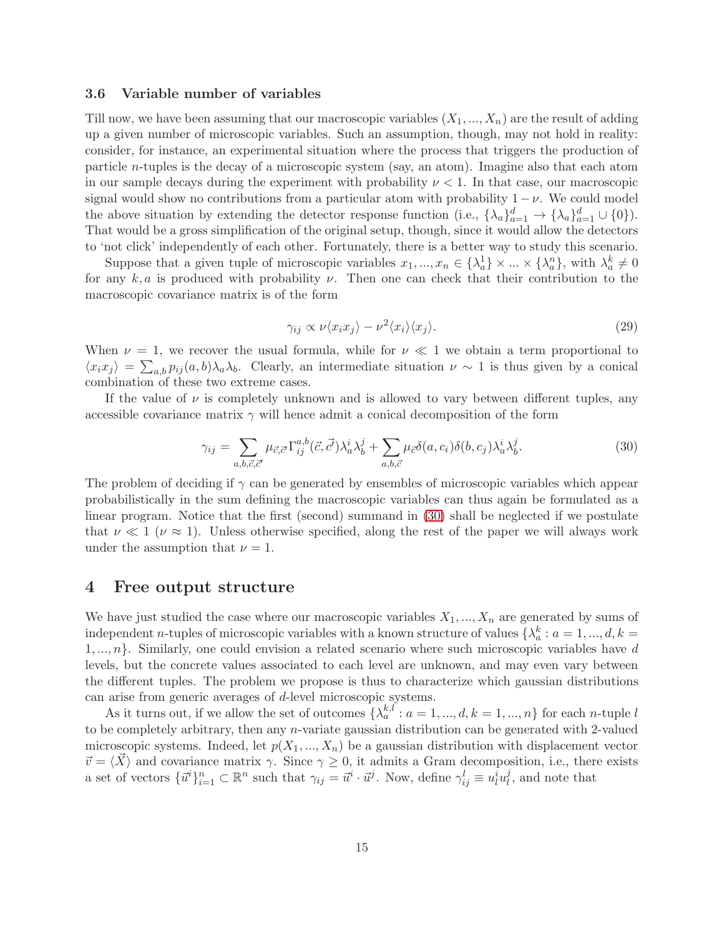#### <span id="page-14-2"></span>3.6 Variable number of variables

Till now, we have been assuming that our macroscopic variables  $(X_1, ..., X_n)$  are the result of adding up a given number of microscopic variables. Such an assumption, though, may not hold in reality: consider, for instance, an experimental situation where the process that triggers the production of particle n-tuples is the decay of a microscopic system (say, an atom). Imagine also that each atom in our sample decays during the experiment with probability  $\nu < 1$ . In that case, our macroscopic signal would show no contributions from a particular atom with probability  $1 - \nu$ . We could model the above situation by extending the detector response function (i.e.,  $\{\lambda_a\}_{a=1}^d \to \{\lambda_a\}_{a=1}^d \cup \{0\}$ ). That would be a gross simplification of the original setup, though, since it would allow the detectors to 'not click' independently of each other. Fortunately, there is a better way to study this scenario.

Suppose that a given tuple of microscopic variables  $x_1, ..., x_n \in \{\lambda_a^1\} \times ... \times \{\lambda_a^n\}$ , with  $\lambda_a^k \neq 0$ for any k, a is produced with probability  $\nu$ . Then one can check that their contribution to the macroscopic covariance matrix is of the form

$$
\gamma_{ij} \propto \nu \langle x_i x_j \rangle - \nu^2 \langle x_i \rangle \langle x_j \rangle. \tag{29}
$$

When  $\nu = 1$ , we recover the usual formula, while for  $\nu \ll 1$  we obtain a term proportional to  $\langle x_i x_j \rangle = \sum_{a,b} p_{ij} (a, b) \lambda_a \lambda_b$ . Clearly, an intermediate situation  $\nu \sim 1$  is thus given by a conical combination of these two extreme cases.

If the value of  $\nu$  is completely unknown and is allowed to vary between different tuples, any accessible covariance matrix  $\gamma$  will hence admit a conical decomposition of the form

<span id="page-14-1"></span>
$$
\gamma_{ij} = \sum_{a,b,\vec{c},\vec{c}'} \mu_{\vec{c},\vec{c}'} \Gamma_{ij}^{a,b}(\vec{c},\vec{c'}) \lambda_a^i \lambda_b^j + \sum_{a,b,\vec{c}} \mu_{\vec{c}} \delta(a,c_i) \delta(b,c_j) \lambda_a^i \lambda_b^j.
$$
(30)

The problem of deciding if  $\gamma$  can be generated by ensembles of microscopic variables which appear probabilistically in the sum defining the macroscopic variables can thus again be formulated as a linear program. Notice that the first (second) summand in [\(30\)](#page-14-1) shall be neglected if we postulate that  $\nu \ll 1$  ( $\nu \approx 1$ ). Unless otherwise specified, along the rest of the paper we will always work under the assumption that  $\nu = 1$ .

### <span id="page-14-0"></span>4 Free output structure

We have just studied the case where our macroscopic variables  $X_1, ..., X_n$  are generated by sums of independent *n*-tuples of microscopic variables with a known structure of values  $\{\lambda_a^k : a = 1, ..., d, k = 1, \ldots, k\}$  $1, \ldots, n$ . Similarly, one could envision a related scenario where such microscopic variables have d levels, but the concrete values associated to each level are unknown, and may even vary between the different tuples. The problem we propose is thus to characterize which gaussian distributions can arise from generic averages of d-level microscopic systems.

As it turns out, if we allow the set of outcomes  $\{\lambda_a^{k,l} : a = 1, ..., d, k = 1, ..., n\}$  for each *n*-tuple *l* to be completely arbitrary, then any n-variate gaussian distribution can be generated with 2-valued microscopic systems. Indeed, let  $p(X_1, ..., X_n)$  be a gaussian distribution with displacement vector  $\vec{v} = \langle \vec{X} \rangle$  and covariance matrix  $\gamma$ . Since  $\gamma \geq 0$ , it admits a Gram decomposition, i.e., there exists a set of vectors  $\{\vec{u}^i\}_{i=1}^n \subset \mathbb{R}^n$  such that  $\gamma_{ij} = \vec{u}^i \cdot \vec{u}^j$ . Now, define  $\gamma_{ij}^l \equiv u^i_l u^j_l$  $\ell$ <sub>l</sub>, and note that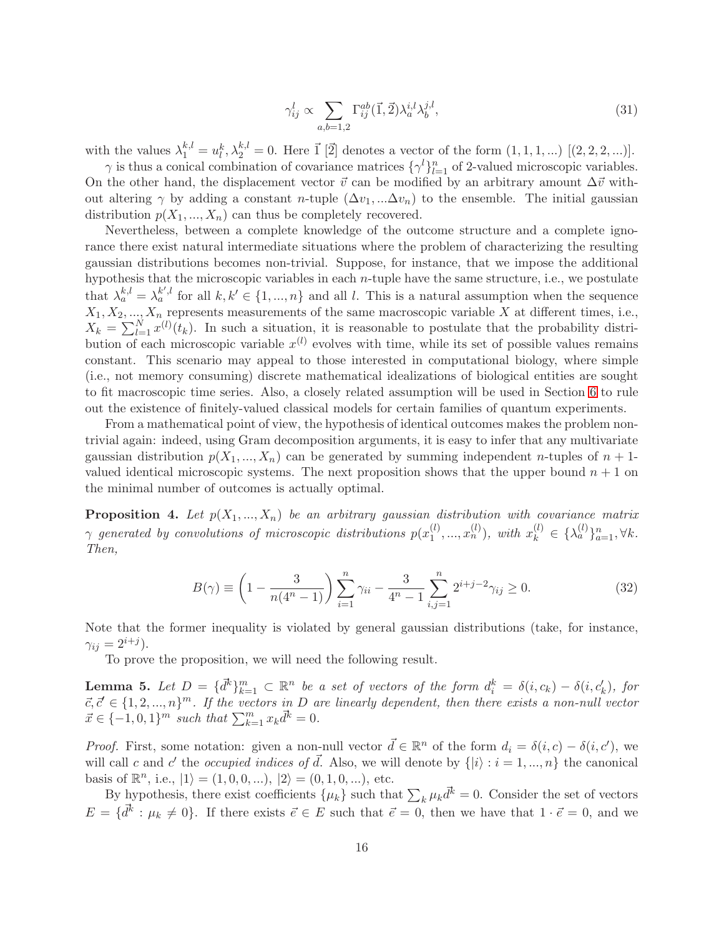$$
\gamma_{ij}^l \propto \sum_{a,b=1,2} \Gamma_{ij}^{ab}(\vec{1},\vec{2}) \lambda_a^{i,l} \lambda_b^{j,l},\tag{31}
$$

with the values  $\lambda_1^{k,l} = u_l^k, \lambda_2^{k,l} = 0$ . Here  $\vec{1}$  [2] denotes a vector of the form  $(1,1,1,...)$  [ $(2,2,2,...)$ ].

 $\gamma$  is thus a conical combination of covariance matrices  $\{\gamma^l\}_{l=1}^n$  of 2-valued microscopic variables. On the other hand, the displacement vector  $\vec{v}$  can be modified by an arbitrary amount  $\Delta \vec{v}$  without altering  $\gamma$  by adding a constant n-tuple  $(\Delta v_1, ... \Delta v_n)$  to the ensemble. The initial gaussian distribution  $p(X_1, ..., X_n)$  can thus be completely recovered.

Nevertheless, between a complete knowledge of the outcome structure and a complete ignorance there exist natural intermediate situations where the problem of characterizing the resulting gaussian distributions becomes non-trivial. Suppose, for instance, that we impose the additional hypothesis that the microscopic variables in each n-tuple have the same structure, i.e., we postulate that  $\lambda_a^{k,l} = \lambda_a^{k',l}$  for all  $k, k' \in \{1, ..., n\}$  and all l. This is a natural assumption when the sequence  $X_1, X_2, ..., X_n$  represents measurements of the same macroscopic variable X at different times, i.e.,  $X_k = \sum_{l=1}^N x^{(l)}(t_k)$ . In such a situation, it is reasonable to postulate that the probability distribution of each microscopic variable  $x^{(l)}$  evolves with time, while its set of possible values remains constant. This scenario may appeal to those interested in computational biology, where simple (i.e., not memory consuming) discrete mathematical idealizations of biological entities are sought to fit macroscopic time series. Also, a closely related assumption will be used in Section [6](#page-23-0) to rule out the existence of finitely-valued classical models for certain families of quantum experiments.

From a mathematical point of view, the hypothesis of identical outcomes makes the problem nontrivial again: indeed, using Gram decomposition arguments, it is easy to infer that any multivariate gaussian distribution  $p(X_1, ..., X_n)$  can be generated by summing independent *n*-tuples of  $n + 1$ valued identical microscopic systems. The next proposition shows that the upper bound  $n + 1$  on the minimal number of outcomes is actually optimal.

<span id="page-15-0"></span>**Proposition 4.** Let  $p(X_1, ..., X_n)$  be an arbitrary gaussian distribution with covariance matrix  $\gamma$  generated by convolutions of microscopic distributions  $p(x_1^{(l)})$  $\{a^{(l)},...,x_n^{(l)}\},\ with\ x_k^{(l)}\in\{\lambda_a^{(l)}\}_{a=1}^n, \forall k.$ Then,

<span id="page-15-1"></span>
$$
B(\gamma) \equiv \left(1 - \frac{3}{n(4^n - 1)}\right) \sum_{i=1}^n \gamma_{ii} - \frac{3}{4^n - 1} \sum_{i,j=1}^n 2^{i+j-2} \gamma_{ij} \ge 0.
$$
 (32)

Note that the former inequality is violated by general gaussian distributions (take, for instance,  $\gamma_{ij} = 2^{i+j}$ ).

To prove the proposition, we will need the following result.

<span id="page-15-2"></span>**Lemma 5.** Let  $D = \{d^k\}_{k=1}^m \subset \mathbb{R}^n$  be a set of vectors of the form  $d_i^k = \delta(i, c_k) - \delta(i, c'_k)$ , for  $\vec{c}, \vec{c}' \in \{1, 2, ..., n\}^m$ . If the vectors in D are linearly dependent, then there exists a non-null vector  $\vec{x} \in \{-1, 0, 1\}^m$  such that  $\sum_{k=1}^m x_k \vec{d}^k = 0$ .

*Proof.* First, some notation: given a non-null vector  $\vec{d} \in \mathbb{R}^n$  of the form  $d_i = \delta(i, c) - \delta(i, c')$ , we will call c and c' the *occupied indices of*  $\vec{d}$ . Also, we will denote by  $\{|i\rangle : i = 1, ..., n\}$  the canonical basis of  $\mathbb{R}^n$ , i.e.,  $|1\rangle = (1, 0, 0, ...)$ ,  $|2\rangle = (0, 1, 0, ...)$ , etc.

By hypothesis, there exist coefficients  $\{\mu_k\}$  such that  $\sum_k \mu_k \vec{d}^k = 0$ . Consider the set of vectors  $E = \{d^k : \mu_k \neq 0\}$ . If there exists  $\vec{e} \in E$  such that  $\vec{e} = 0$ , then we have that  $1 \cdot \vec{e} = 0$ , and we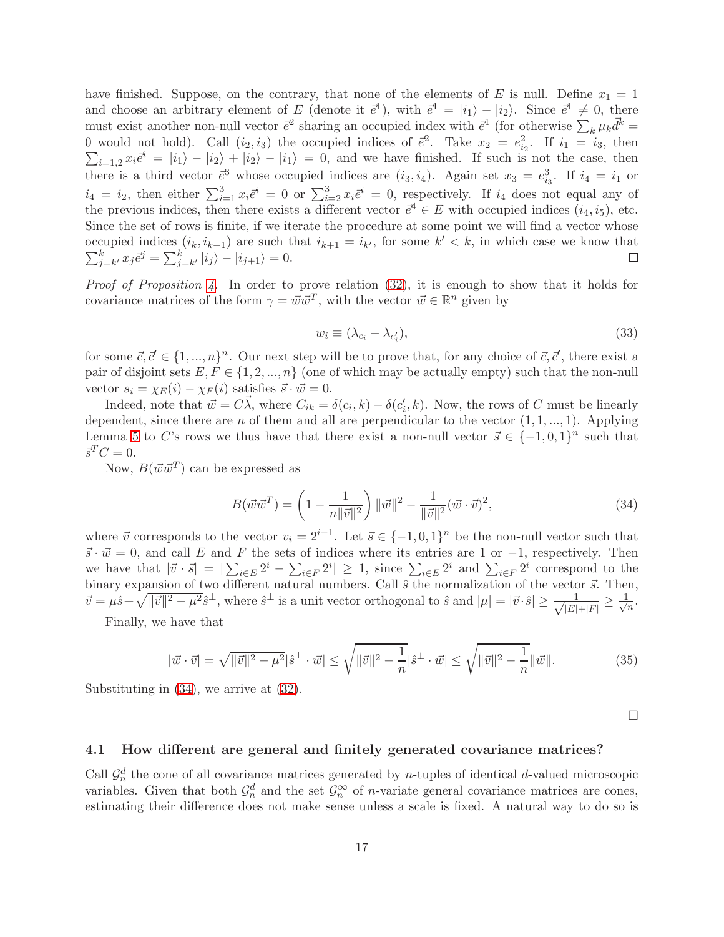have finished. Suppose, on the contrary, that none of the elements of E is null. Define  $x_1 = 1$ and choose an arbitrary element of E (denote it  $\vec{e}^1$ ), with  $\vec{e}^1 = |i_1\rangle - |i_2\rangle$ . Since  $\vec{e}^1 \neq 0$ , there must exist another non-null vector  $\bar{e}^2$  sharing an occupied index with  $\bar{e}^1$  (for otherwise  $\sum_k \mu_k \bar{d}^k =$ 0 would not hold). Call  $(i_2, i_3)$  the occupied indices of  $\bar{e}^2$ . Take  $x_2 = e_{i_2}^2$ . If  $i_1 = i_3$ , then o would not hold). Can  $\langle i_2, i_3 \rangle$  the occupied indices of  $e$ . Take  $x_2 = e_{i_2}$ . If  $i_1 = i_3$ , then  $\sum_{i=1,2} x_i \overline{e}^i = |i_1\rangle - |i_2\rangle + |i_2\rangle - |i_1\rangle = 0$ , and we have finished. If such is not the case, then there is a third vector  $\vec{e}^3$  whose occupied indices are  $(i_3, i_4)$ . Again set  $x_3 = e_{i_3}^3$ . If  $i_4 = i_1$  or  $i_4 = i_2$ , then either  $\sum_{i=1}^3 x_i \vec{e}^i = 0$  or  $\sum_{i=2}^3 x_i \vec{e}^i = 0$ , respectively. If  $i_4$  does not equal any of the previous indices, then there exists a different vector  $\vec{e}^4 \in E$  with occupied indices  $(i_4, i_5)$ , etc. Since the set of rows is finite, if we iterate the procedure at some point we will find a vector whose occupied indices  $(i_k, i_{k+1})$  are such that  $i_{k+1} = i_{k'}$ , for some  $k' < k$ , in which case we know that  $\sum_{i}^{k}$  $_{j=k'}^{k} x_j \bar{e}^j = \sum_{j=k'}^{k} |i_j\rangle - |i_{j+1}\rangle = 0.$ □

*Proof of Proposition [4.](#page-15-0)* In order to prove relation  $(32)$ , it is enough to show that it holds for covariance matrices of the form  $\gamma = \vec{w}\vec{w}^T$ , with the vector  $\vec{w} \in \mathbb{R}^n$  given by

$$
w_i \equiv (\lambda_{c_i} - \lambda_{c'_i}),\tag{33}
$$

for some  $\vec{c}, \vec{c}' \in \{1, ..., n\}^n$ . Our next step will be to prove that, for any choice of  $\vec{c}, \vec{c}'$ , there exist a pair of disjoint sets  $E, F \in \{1, 2, ..., n\}$  (one of which may be actually empty) such that the non-null vector  $s_i = \chi_E(i) - \chi_F(i)$  satisfies  $\vec{s} \cdot \vec{w} = 0$ .

Indeed, note that  $\vec{w} = C\vec{\lambda}$ , where  $C_{ik} = \delta(c_i, k) - \delta(c'_i, k)$ . Now, the rows of C must be linearly dependent, since there are n of them and all are perpendicular to the vector  $(1, 1, ..., 1)$ . Applying Lemma [5](#page-15-2) to C's rows we thus have that there exist a non-null vector  $\vec{s} \in \{-1,0,1\}^n$  such that  $\vec{s}^T C = 0.$ 

Now,  $B(\vec{w}\vec{w}^T)$  can be expressed as

<span id="page-16-0"></span>
$$
B(\vec{w}\vec{w}^T) = \left(1 - \frac{1}{n\|\vec{v}\|^2}\right) \|\vec{w}\|^2 - \frac{1}{\|\vec{v}\|^2} (\vec{w} \cdot \vec{v})^2,
$$
\n(34)

where  $\vec{v}$  corresponds to the vector  $v_i = 2^{i-1}$ . Let  $\vec{s} \in \{-1,0,1\}^n$  be the non-null vector such that  $\vec{s} \cdot \vec{w} = 0$ , and call E and F the sets of indices where its entries are 1 or -1, respectively. Then we have that  $|\vec{v} \cdot \vec{s}| = |\sum_{i \in E} 2^i - \sum_{i \in F} 2^i| \ge 1$ , since  $\sum_{i \in E} 2^i$  and  $\sum_{i \in F} 2^i$  correspond to the binary expansion of two different natural numbers. Call  $\hat{s}$  the normalization of the vector  $\vec{s}$ . Then,  $\vec{v} = \mu \hat{s} + \sqrt{\|\vec{v}\|^2 - \mu^2} \hat{s}^\perp$ , where  $\hat{s}^\perp$  is a unit vector orthogonal to  $\hat{s}$  and  $|\mu| = |\vec{v} \cdot \hat{s}| \ge \frac{1}{\sqrt{|E|}}$  $\frac{1}{|E|+|F|} \geq \frac{1}{\sqrt{2}}$  $\frac{1}{n}$ .

Finally, we have that

$$
|\vec{w} \cdot \vec{v}| = \sqrt{\|\vec{v}\|^2 - \mu^2} |\hat{s}^\perp \cdot \vec{w}| \le \sqrt{\|\vec{v}\|^2 - \frac{1}{n}} |\hat{s}^\perp \cdot \vec{w}| \le \sqrt{\|\vec{v}\|^2 - \frac{1}{n}} \|\vec{w}\|.
$$
 (35)

Substituting in [\(34\)](#page-16-0), we arrive at [\(32\)](#page-15-1).

 $\Box$ 

#### 4.1 How different are general and finitely generated covariance matrices?

Call  $\mathcal{G}_n^d$  the cone of all covariance matrices generated by *n*-tuples of identical *d*-valued microscopic variables. Given that both  $\mathcal{G}_n^d$  and the set  $\mathcal{G}_n^{\infty}$  of *n*-variate general covariance matrices are cones, estimating their difference does not make sense unless a scale is fixed. A natural way to do so is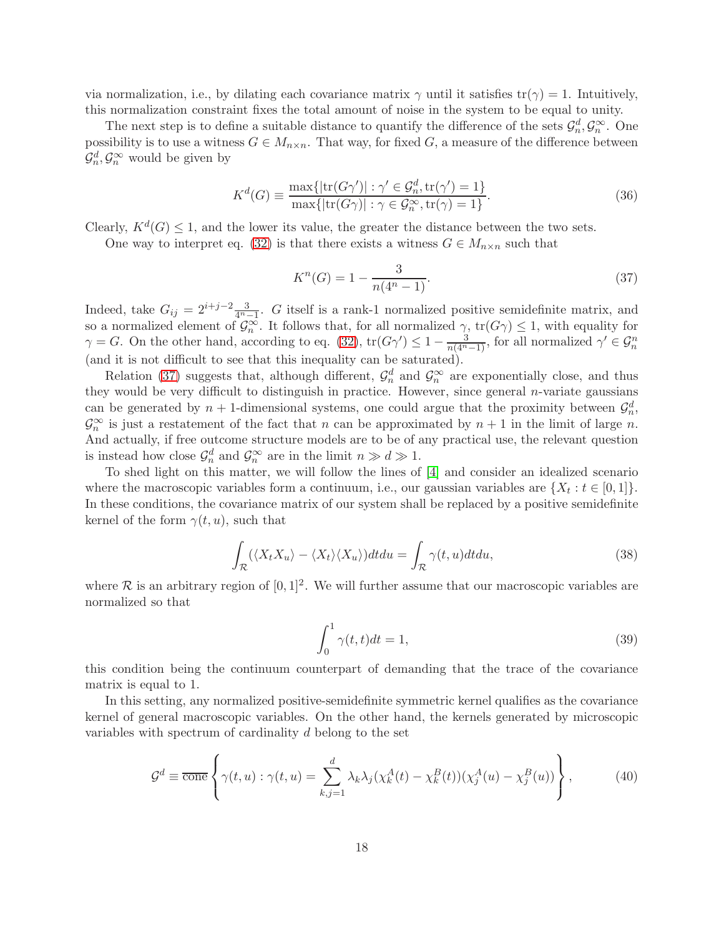via normalization, i.e., by dilating each covariance matrix  $\gamma$  until it satisfies  $tr(\gamma) = 1$ . Intuitively, this normalization constraint fixes the total amount of noise in the system to be equal to unity.

The next step is to define a suitable distance to quantify the difference of the sets  $\mathcal{G}_n^d, \mathcal{G}_n^{\infty}$ . One possibility is to use a witness  $G \in M_{n \times n}$ . That way, for fixed G, a measure of the difference between  $\mathcal{G}_n^d, \mathcal{G}_n^{\infty}$  would be given by

$$
K^{d}(G) \equiv \frac{\max\{|{\rm tr}(G\gamma')| : \gamma' \in \mathcal{G}_n^d, {\rm tr}(\gamma') = 1\}}{\max\{|{\rm tr}(G\gamma)| : \gamma \in \mathcal{G}_n^{\infty}, {\rm tr}(\gamma) = 1\}}.
$$
\n(36)

Clearly,  $K^d(G) \leq 1$ , and the lower its value, the greater the distance between the two sets.

One way to interpret eq. [\(32\)](#page-15-1) is that there exists a witness  $G \in M_{n \times n}$  such that

<span id="page-17-0"></span>
$$
K^{n}(G) = 1 - \frac{3}{n(4^{n} - 1)}.
$$
\n(37)

Indeed, take  $G_{ij} = 2^{i+j-2} \frac{3}{4^n-1}$ . G itself is a rank-1 normalized positive semidefinite matrix, and so a normalized element of  $\mathcal{G}_n^{\infty}$ . It follows that, for all normalized  $\gamma$ ,  $\text{tr}(G\gamma) \leq 1$ , with equality for  $\gamma = G$ . On the other hand, according to eq. [\(32\)](#page-15-1),  $\text{tr}(G\gamma') \leq 1 - \frac{3}{n(4^n-1)}$ , for all normalized  $\gamma' \in \mathcal{G}_n^n$ (and it is not difficult to see that this inequality can be saturated).

Relation [\(37\)](#page-17-0) suggests that, although different,  $\mathcal{G}_n^d$  and  $\mathcal{G}_n^{\infty}$  are exponentially close, and thus they would be very difficult to distinguish in practice. However, since general  $n$ -variate gaussians can be generated by  $n + 1$ -dimensional systems, one could argue that the proximity between  $\mathcal{G}_n^d$ ,  $\mathcal{G}_n^{\infty}$  is just a restatement of the fact that n can be approximated by  $n+1$  in the limit of large n. And actually, if free outcome structure models are to be of any practical use, the relevant question is instead how close  $\mathcal{G}_n^d$  and  $\mathcal{G}_n^{\infty}$  are in the limit  $n \gg d \gg 1$ .

To shed light on this matter, we will follow the lines of [\[4\]](#page-30-5) and consider an idealized scenario where the macroscopic variables form a continuum, i.e., our gaussian variables are  $\{X_t : t \in [0,1]\}.$ In these conditions, the covariance matrix of our system shall be replaced by a positive semidefinite kernel of the form  $\gamma(t, u)$ , such that

$$
\int_{\mathcal{R}} (\langle X_t X_u \rangle - \langle X_t \rangle \langle X_u \rangle) dt du = \int_{\mathcal{R}} \gamma(t, u) dt du,
$$
\n(38)

where  $\mathcal R$  is an arbitrary region of  $[0,1]^2$ . We will further assume that our macroscopic variables are normalized so that

$$
\int_0^1 \gamma(t, t)dt = 1,\tag{39}
$$

this condition being the continuum counterpart of demanding that the trace of the covariance matrix is equal to 1.

In this setting, any normalized positive-semidefinite symmetric kernel qualifies as the covariance kernel of general macroscopic variables. On the other hand, the kernels generated by microscopic variables with spectrum of cardinality d belong to the set

<span id="page-17-1"></span>
$$
\mathcal{G}^d \equiv \overline{\text{cone}} \left\{ \gamma(t, u) : \gamma(t, u) = \sum_{k, j=1}^d \lambda_k \lambda_j (\chi_k^A(t) - \chi_k^B(t)) (\chi_j^A(u) - \chi_j^B(u)) \right\},\tag{40}
$$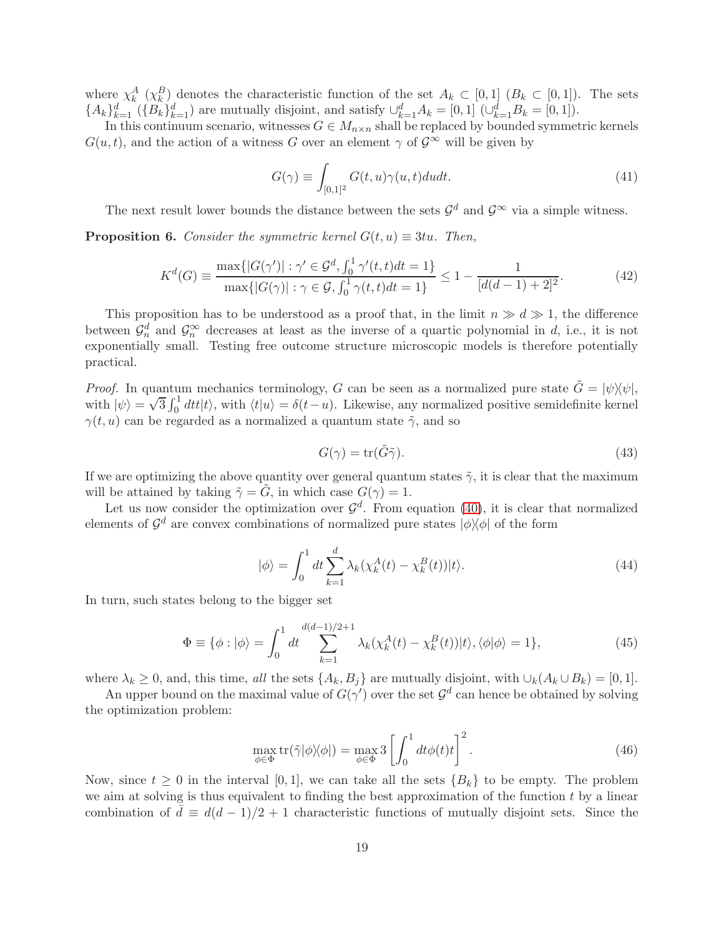where  $\chi^A_k$   $(\chi^B_k)$  denotes the characteristic function of the set  $A_k \subset [0,1]$   $(B_k \subset [0,1])$ . The sets  ${A_k}_{k=1}^d$  ( ${B_k}_{k=1}^d$ ) are mutually disjoint, and satisfy  $\bigcup_{k=1}^d A_k = [0,1]$  ( $\bigcup_{k=1}^d B_k = [0,1]$ ).

In this continuum scenario, witnesses  $G \in M_{n \times n}$  shall be replaced by bounded symmetric kernels  $G(u, t)$ , and the action of a witness G over an element  $\gamma$  of  $\mathcal{G}^{\infty}$  will be given by

$$
G(\gamma) \equiv \int_{[0,1]^2} G(t,u)\gamma(u,t)dudt.
$$
\n(41)

The next result lower bounds the distance between the sets  $\mathcal{G}^d$  and  $\mathcal{G}^\infty$  via a simple witness.

<span id="page-18-1"></span>**Proposition 6.** Consider the symmetric kernel  $G(t, u) \equiv 3tu$ . Then,

<span id="page-18-0"></span>
$$
K^{d}(G) \equiv \frac{\max\{|G(\gamma')| : \gamma' \in \mathcal{G}^{d}, \int_{0}^{1} \gamma'(t, t)dt = 1\}}{\max\{|G(\gamma)| : \gamma \in \mathcal{G}, \int_{0}^{1} \gamma(t, t)dt = 1\}} \le 1 - \frac{1}{[d(d-1) + 2]^{2}}.
$$
\n(42)

This proposition has to be understood as a proof that, in the limit  $n \gg d \gg 1$ , the difference between  $\mathcal{G}_n^d$  and  $\mathcal{G}_n^{\infty}$  decreases at least as the inverse of a quartic polynomial in d, i.e., it is not exponentially small. Testing free outcome structure microscopic models is therefore potentially practical.

*Proof.* In quantum mechanics terminology, G can be seen as a normalized pure state  $\tilde{G} = |\psi\rangle\langle\psi|$ , with  $|\psi\rangle = \sqrt{3} \int_0^1 dt t |t\rangle$ , with  $\langle t | u \rangle = \delta(t-u)$ . Likewise, any normalized positive semidefinite kernel  $\gamma(t,u)$  can be regarded as a normalized a quantum state  $\tilde{\gamma},$  and so

$$
G(\gamma) = \text{tr}(\tilde{G}\tilde{\gamma}).\tag{43}
$$

If we are optimizing the above quantity over general quantum states  $\tilde{\gamma}$ , it is clear that the maximum will be attained by taking  $\tilde{\gamma} = \tilde{G}$ , in which case  $G(\gamma) = 1$ .

Let us now consider the optimization over  $\mathcal{G}^d$ . From equation [\(40\)](#page-17-1), it is clear that normalized elements of  $\mathcal{G}^d$  are convex combinations of normalized pure states  $|\phi\rangle\langle\phi|$  of the form

$$
|\phi\rangle = \int_0^1 dt \sum_{k=1}^d \lambda_k (\chi_k^A(t) - \chi_k^B(t)) |t\rangle.
$$
 (44)

In turn, such states belong to the bigger set

$$
\Phi \equiv \{\phi : |\phi\rangle = \int_0^1 dt \sum_{k=1}^{d(d-1)/2+1} \lambda_k(\chi_k^A(t) - \chi_k^B(t))|t\rangle, \langle \phi | \phi \rangle = 1\},\tag{45}
$$

where  $\lambda_k \geq 0$ , and, this time, all the sets  $\{A_k, B_j\}$  are mutually disjoint, with  $\cup_k (A_k \cup B_k) = [0, 1]$ .

An upper bound on the maximal value of  $G(\gamma')$  over the set  $\mathcal{G}^d$  can hence be obtained by solving the optimization problem:

$$
\max_{\phi \in \Phi} \text{tr}(\tilde{\gamma}|\phi\rangle\langle\phi|) = \max_{\phi \in \Phi} 3 \left[ \int_0^1 dt \phi(t)t \right]^2.
$$
 (46)

Now, since  $t \geq 0$  in the interval [0, 1], we can take all the sets  ${B_k}$  to be empty. The problem we aim at solving is thus equivalent to finding the best approximation of the function  $t$  by a linear combination of  $\bar{d} \equiv d(d-1)/2 + 1$  characteristic functions of mutually disjoint sets. Since the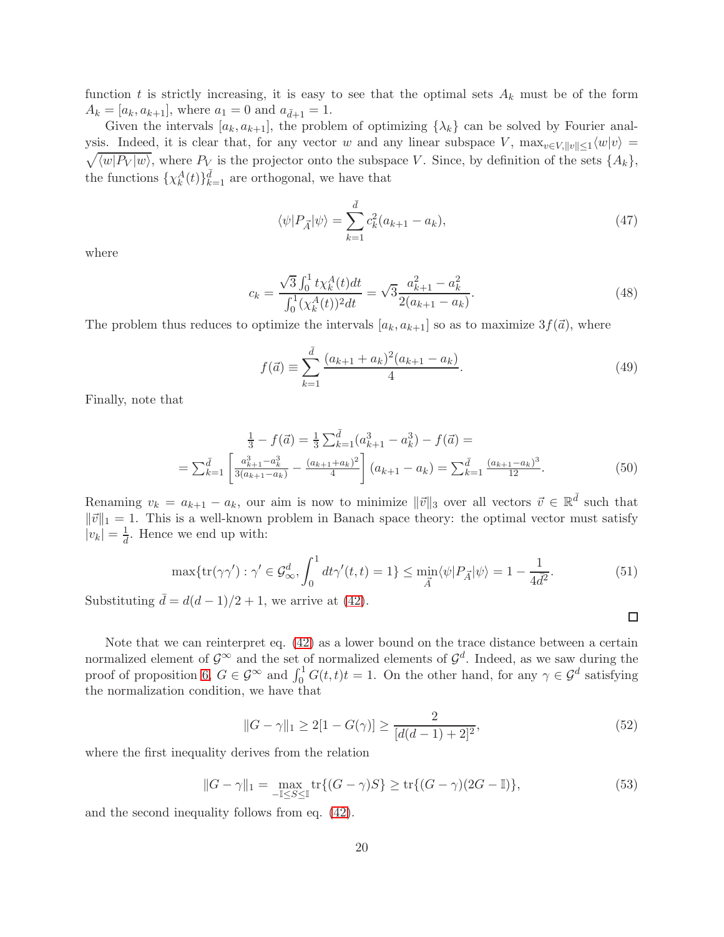function t is strictly increasing, it is easy to see that the optimal sets  $A_k$  must be of the form  $A_k = [a_k, a_{k+1}],$  where  $a_1 = 0$  and  $a_{\bar{d}+1} = 1.$ 

Given the intervals  $[a_k, a_{k+1}]$ , the problem of optimizing  $\{\lambda_k\}$  can be solved by Fourier analysis. Indeed, it is clear that, for any vector w and any linear subspace V,  $\max_{v \in V, ||v|| < 1} \langle w|v \rangle =$ ysis. Indeed, it is clear that, for any vector w and any linear subspace V,  $\max_{v \in V, ||v|| \le 1} \langle w | v \rangle = \sqrt{\langle w | P_V | w \rangle}$ , where  $P_V$  is the projector onto the subspace V. Since, by definition of the sets  $\{A_k\}$ , the functions  $\{\chi_k^A(t)\}_{k=1}^{\bar{d}}$  are orthogonal, we have that

$$
\langle \psi | P_{\vec{A}} | \psi \rangle = \sum_{k=1}^{\bar{d}} c_k^2 (a_{k+1} - a_k), \tag{47}
$$

where

$$
c_k = \frac{\sqrt{3} \int_0^1 t \chi_k^A(t) dt}{\int_0^1 (\chi_k^A(t))^2 dt} = \sqrt{3} \frac{a_{k+1}^2 - a_k^2}{2(a_{k+1} - a_k)}.
$$
\n(48)

The problem thus reduces to optimize the intervals  $[a_k, a_{k+1}]$  so as to maximize  $3f(\vec{a})$ , where

$$
f(\vec{a}) \equiv \sum_{k=1}^{\bar{d}} \frac{(a_{k+1} + a_k)^2 (a_{k+1} - a_k)}{4}.
$$
 (49)

Finally, note that

$$
\frac{1}{3} - f(\vec{a}) = \frac{1}{3} \sum_{k=1}^{\bar{d}} (a_{k+1}^3 - a_k^3) - f(\vec{a}) =
$$
\n
$$
= \sum_{k=1}^{\bar{d}} \left[ \frac{a_{k+1}^3 - a_k^3}{3(a_{k+1} - a_k)} - \frac{(a_{k+1} + a_k)^2}{4} \right] (a_{k+1} - a_k) = \sum_{k=1}^{\bar{d}} \frac{(a_{k+1} - a_k)^3}{12}.
$$
\n(50)

Renaming  $v_k = a_{k+1} - a_k$ , our aim is now to minimize  $\|\vec{v}\|_3$  over all vectors  $\vec{v} \in \mathbb{R}^{\bar{d}}$  such that  $\|\vec{v}\|_1 = 1$ . This is a well-known problem in Banach space theory: the optimal vector must satisfy  $|v_k| = \frac{1}{d}$ . Hence we end up with:

$$
\max\{\text{tr}(\gamma\gamma') : \gamma' \in \mathcal{G}_{\infty}^d, \int_0^1 dt \gamma'(t, t) = 1\} \le \min_{\vec{A}} \langle \psi | P_{\vec{A}} | \psi \rangle = 1 - \frac{1}{4\bar{d}^2}.
$$
 (51)

Substituting  $\bar{d} = d(d-1)/2 + 1$ , we arrive at [\(42\)](#page-18-0).

Note that we can reinterpret eq. [\(42\)](#page-18-0) as a lower bound on the trace distance between a certain normalized element of  $\mathcal{G}^{\infty}$  and the set of normalized elements of  $\mathcal{G}^{d}$ . Indeed, as we saw during the proof of proposition [6,](#page-18-1)  $G \in \mathcal{G}^{\infty}$  and  $\int_0^1 G(t,t)t = 1$ . On the other hand, for any  $\gamma \in \mathcal{G}^d$  satisfying the normalization condition, we have that

$$
||G - \gamma||_1 \ge 2[1 - G(\gamma)] \ge \frac{2}{[d(d-1) + 2]^2},
$$
\n(52)

 $\Box$ 

where the first inequality derives from the relation

$$
||G - \gamma||_1 = \max_{-\mathbb{I} \le S \le \mathbb{I}} \text{tr}\{(G - \gamma)S\} \ge \text{tr}\{(G - \gamma)(2G - \mathbb{I})\},\tag{53}
$$

and the second inequality follows from eq. [\(42\)](#page-18-0).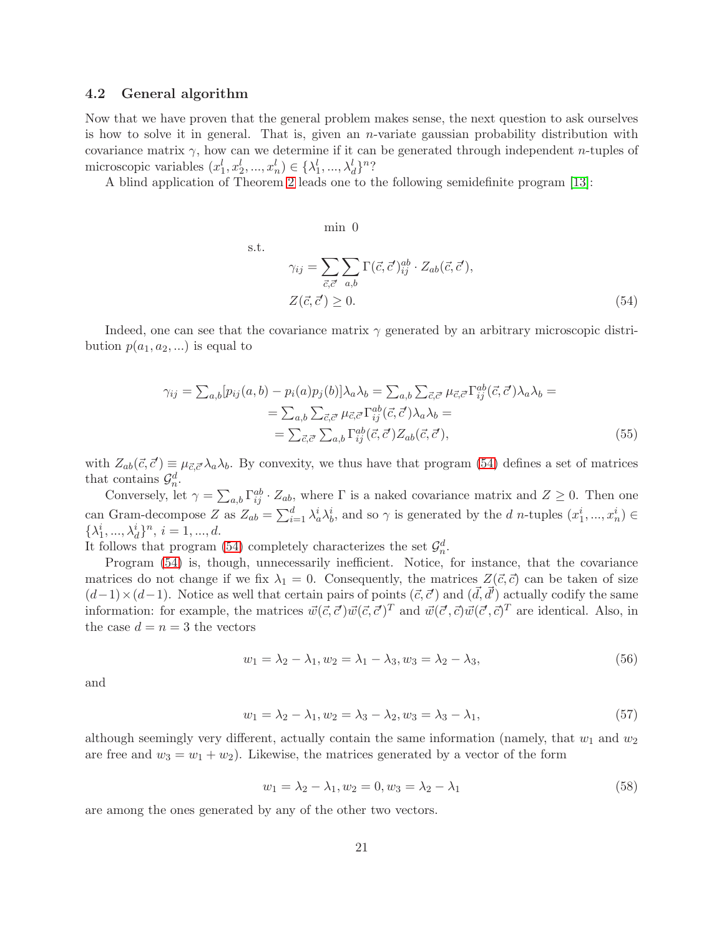### 4.2 General algorithm

Now that we have proven that the general problem makes sense, the next question to ask ourselves is how to solve it in general. That is, given an n-variate gaussian probability distribution with covariance matrix  $\gamma$ , how can we determine if it can be generated through independent *n*-tuples of microscopic variables  $(x_1^l, x_2^l, ..., x_n^l) \in \{\lambda_1^l, ..., \lambda_d^l\}^n$ ?

A blind application of Theorem [2](#page-6-0) leads one to the following semidefinite program [\[13\]](#page-30-6):

<span id="page-20-0"></span>min 0 s.t.  $\gamma_{ij}=\sum$  $\vec{c}, \vec{c}$  $\sum$ a,b  $\Gamma(\vec{c}, \vec{c}')^{ab}_{ij} \cdot Z_{ab}(\vec{c}, \vec{c}'),$  $Z(\vec{c}, \vec{c}') > 0.$  $) \geq 0.$  (54)

Indeed, one can see that the covariance matrix  $\gamma$  generated by an arbitrary microscopic distribution  $p(a_1, a_2, \ldots)$  is equal to

$$
\gamma_{ij} = \sum_{a,b} [p_{ij}(a,b) - p_i(a)p_j(b)] \lambda_a \lambda_b = \sum_{a,b} \sum_{\vec{c},\vec{c}'} \mu_{\vec{c},\vec{c}'} \Gamma_{ij}^{ab}(\vec{c},\vec{c}') \lambda_a \lambda_b =
$$
  
\n
$$
= \sum_{a,b} \sum_{\vec{c},\vec{c}'} \mu_{\vec{c},\vec{c}'} \Gamma_{ij}^{ab}(\vec{c},\vec{c}') \lambda_a \lambda_b =
$$
  
\n
$$
= \sum_{\vec{c},\vec{c}'} \sum_{a,b} \Gamma_{ij}^{ab}(\vec{c},\vec{c}') Z_{ab}(\vec{c},\vec{c}'), \tag{55}
$$

with  $Z_{ab}(\vec{c}, \vec{c}') \equiv \mu_{\vec{c}, \vec{c}'} \lambda_a \lambda_b$ . By convexity, we thus have that program [\(54\)](#page-20-0) defines a set of matrices that contains  $\mathcal{G}_n^d$ .

Conversely, let  $\gamma = \sum_{a,b} \Gamma_{ij}^{ab} \cdot Z_{ab}$ , where  $\Gamma$  is a naked covariance matrix and  $Z \geq 0$ . Then one can Gram-decompose Z as  $Z_{ab} = \sum_{i=1}^{d} \lambda_a^i \lambda_b^i$ , and so  $\gamma$  is generated by the d n-tuples  $(x_1^i, ..., x_n^i) \in$  $\{\lambda_1^i, ..., \lambda_d^i\}^n, i = 1, ..., d.$ 

It follows that program [\(54\)](#page-20-0) completely characterizes the set  $\mathcal{G}_n^d$ .

Program [\(54\)](#page-20-0) is, though, unnecessarily inefficient. Notice, for instance, that the covariance matrices do not change if we fix  $\lambda_1 = 0$ . Consequently, the matrices  $Z(\vec{c}, \vec{c})$  can be taken of size  $(d-1)\times(d-1)$ . Notice as well that certain pairs of points  $(\vec{c}, \vec{c}')$  and  $(\vec{d}, \vec{d}')$  actually codify the same information: for example, the matrices  $\vec{w}(\vec{c}, \vec{c}')\vec{w}(\vec{c}, \vec{c}')^T$  and  $\vec{w}(\vec{c}', \vec{c})\vec{w}(\vec{c}', \vec{c})^T$  are identical. Also, in the case  $d = n = 3$  the vectors

$$
w_1 = \lambda_2 - \lambda_1, w_2 = \lambda_1 - \lambda_3, w_3 = \lambda_2 - \lambda_3,
$$
\n(56)

and

$$
w_1 = \lambda_2 - \lambda_1, w_2 = \lambda_3 - \lambda_2, w_3 = \lambda_3 - \lambda_1,
$$
\n(57)

although seemingly very different, actually contain the same information (namely, that  $w_1$  and  $w_2$ are free and  $w_3 = w_1 + w_2$ ). Likewise, the matrices generated by a vector of the form

$$
w_1 = \lambda_2 - \lambda_1, w_2 = 0, w_3 = \lambda_2 - \lambda_1
$$
\n(58)

are among the ones generated by any of the other two vectors.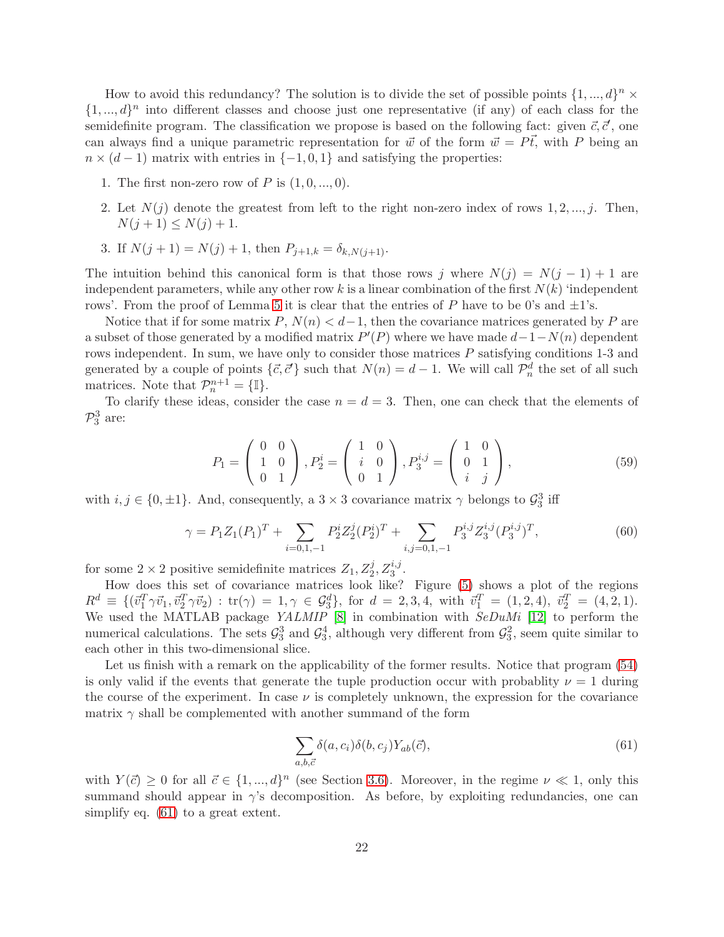How to avoid this redundancy? The solution is to divide the set of possible points  $\{1, ..., d\}^n$  ×  $\{1, ..., d\}$ <sup>n</sup> into different classes and choose just one representative (if any) of each class for the semidefinite program. The classification we propose is based on the following fact: given  $\vec{c}, \vec{c}'$ , one can always find a unique parametric representation for  $\vec{w}$  of the form  $\vec{w} = P\vec{t}$ , with P being an  $n \times (d-1)$  matrix with entries in  $\{-1,0,1\}$  and satisfying the properties:

- 1. The first non-zero row of  $P$  is  $(1,0, \ldots, 0)$ .
- 2. Let  $N(j)$  denote the greatest from left to the right non-zero index of rows 1, 2, ..., j. Then,  $N(j + 1) \le N(j) + 1$ .
- 3. If  $N(j + 1) = N(j) + 1$ , then  $P_{j+1,k} = \delta_{k,N(j+1)}$ .

The intuition behind this canonical form is that those rows j where  $N(j) = N(j-1) + 1$  are independent parameters, while any other row k is a linear combination of the first  $N(k)$  'independent rows'. From the proof of Lemma [5](#page-15-2) it is clear that the entries of P have to be 0's and  $\pm 1$ 's.

Notice that if for some matrix  $P, N(n) < d-1$ , then the covariance matrices generated by P are a subset of those generated by a modified matrix  $P'(P)$  where we have made  $d-1-N(n)$  dependent rows independent. In sum, we have only to consider those matrices P satisfying conditions 1-3 and generated by a couple of points  $\{\vec{c}, \vec{c}'\}$  such that  $N(n) = d - 1$ . We will call  $\mathcal{P}_n^d$  the set of all such matrices. Note that  $\mathcal{P}_n^{n+1} = \{\mathbb{I}\}.$ 

To clarify these ideas, consider the case  $n = d = 3$ . Then, one can check that the elements of  $\mathcal{P}_3^3$  are:

$$
P_1 = \begin{pmatrix} 0 & 0 \\ 1 & 0 \\ 0 & 1 \end{pmatrix}, P_2^i = \begin{pmatrix} 1 & 0 \\ i & 0 \\ 0 & 1 \end{pmatrix}, P_3^{i,j} = \begin{pmatrix} 1 & 0 \\ 0 & 1 \\ i & j \end{pmatrix},
$$
(59)

with  $i, j \in \{0, \pm 1\}$ . And, consequently, a  $3 \times 3$  covariance matrix  $\gamma$  belongs to  $\mathcal{G}_3^3$  iff

$$
\gamma = P_1 Z_1 (P_1)^T + \sum_{i=0,1,-1} P_2^i Z_2^j (P_2^i)^T + \sum_{i,j=0,1,-1} P_3^{i,j} Z_3^{i,j} (P_3^{i,j})^T, \tag{60}
$$

for some  $2 \times 2$  positive semidefinite matrices  $Z_1, Z_2^j, Z_3^{i,j}$ .

How does this set of covariance matrices look like? Figure [\(5\)](#page-22-0) shows a plot of the regions  $R^d \equiv \{(\vec{v}_1^T \gamma \vec{v}_1, \vec{v}_2^T \gamma \vec{v}_2) : {\rm tr}(\gamma) = 1, \gamma \in \mathcal{G}_3^d\}, \text{ for } d = 2, 3, 4, \text{ with } \vec{v}_1^T = (1, 2, 4), \vec{v}_2^T = (4, 2, 1).$ We used the MATLAB package *YALMIP* [\[8\]](#page-30-7) in combination with  $SeDuMi$  [\[12\]](#page-30-8) to perform the numerical calculations. The sets  $\mathcal{G}_3^3$  and  $\mathcal{G}_3^4$ , although very different from  $\mathcal{G}_3^2$ , seem quite similar to each other in this two-dimensional slice.

Let us finish with a remark on the applicability of the former results. Notice that program [\(54\)](#page-20-0) is only valid if the events that generate the tuple production occur with probablity  $\nu = 1$  during the course of the experiment. In case  $\nu$  is completely unknown, the expression for the covariance matrix  $\gamma$  shall be complemented with another summand of the form

<span id="page-21-0"></span>
$$
\sum_{a,b,\vec{c}} \delta(a,c_i)\delta(b,c_j) Y_{ab}(\vec{c}),\tag{61}
$$

with  $Y(\vec{c}) \ge 0$  for all  $\vec{c} \in \{1, ..., d\}^n$  (see Section [3.6\)](#page-14-2). Moreover, in the regime  $\nu \ll 1$ , only this summand should appear in  $\gamma$ 's decomposition. As before, by exploiting redundancies, one can simplify eq. [\(61\)](#page-21-0) to a great extent.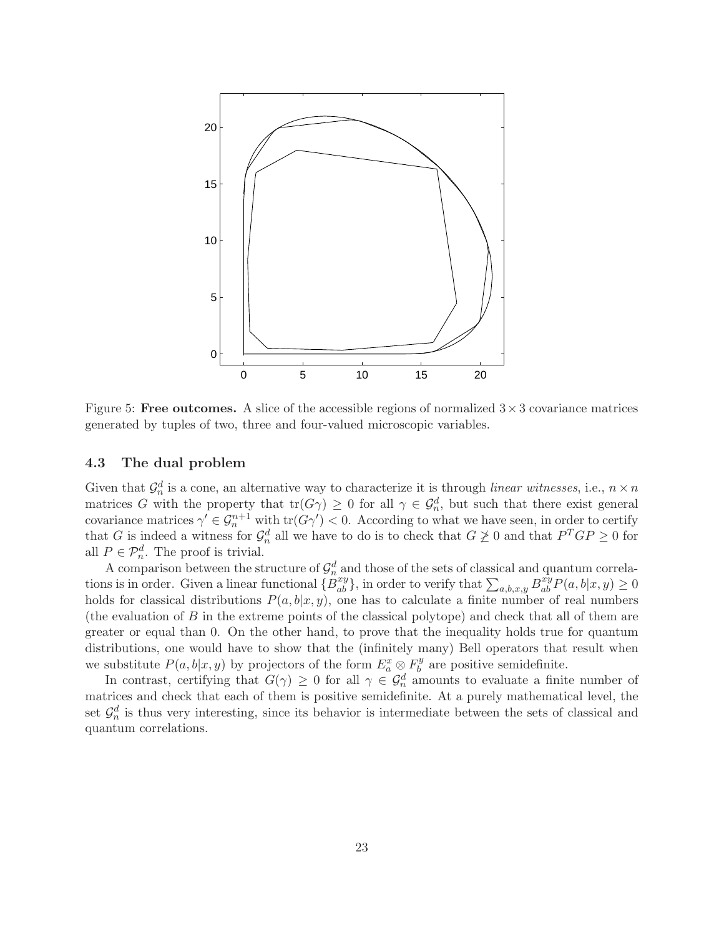

<span id="page-22-0"></span>Figure 5: Free outcomes. A slice of the accessible regions of normalized  $3 \times 3$  covariance matrices generated by tuples of two, three and four-valued microscopic variables.

### 4.3 The dual problem

Given that  $\mathcal{G}_n^d$  is a cone, an alternative way to characterize it is through *linear witnesses*, i.e.,  $n \times n$ matrices G with the property that  $tr(G\gamma) \geq 0$  for all  $\gamma \in \mathcal{G}_n^d$ , but such that there exist general covariance matrices  $\gamma' \in \mathcal{G}_n^{n+1}$  with  $\text{tr}(G\gamma') < 0$ . According to what we have seen, in order to certify that G is indeed a witness for  $\mathcal{G}_n^d$  all we have to do is to check that  $G \not\geq 0$  and that  $P^TGP \geq 0$  for all  $P \in \mathcal{P}_n^d$ . The proof is trivial.

A comparison between the structure of  $\mathcal{G}_n^d$  and those of the sets of classical and quantum correlations is in order. Given a linear functional  $\{\ddot{B}_{ab}^{xy}\}$ , in order to verify that  $\sum_{a,b,x,y} B_{ab}^{xy} P(a,b|x,y) \ge 0$ holds for classical distributions  $P(a, b|x, y)$ , one has to calculate a finite number of real numbers (the evaluation of B in the extreme points of the classical polytope) and check that all of them are greater or equal than 0. On the other hand, to prove that the inequality holds true for quantum distributions, one would have to show that the (infinitely many) Bell operators that result when we substitute  $P(a, b|x, y)$  by projectors of the form  $E_a^x \otimes F_b^y$  $b<sub>b</sub><sup>y</sup>$  are positive semidefinite.

In contrast, certifying that  $G(\gamma) \geq 0$  for all  $\gamma \in \mathcal{G}_n^d$  amounts to evaluate a finite number of matrices and check that each of them is positive semidefinite. At a purely mathematical level, the set  $\mathcal{G}_n^d$  is thus very interesting, since its behavior is intermediate between the sets of classical and quantum correlations.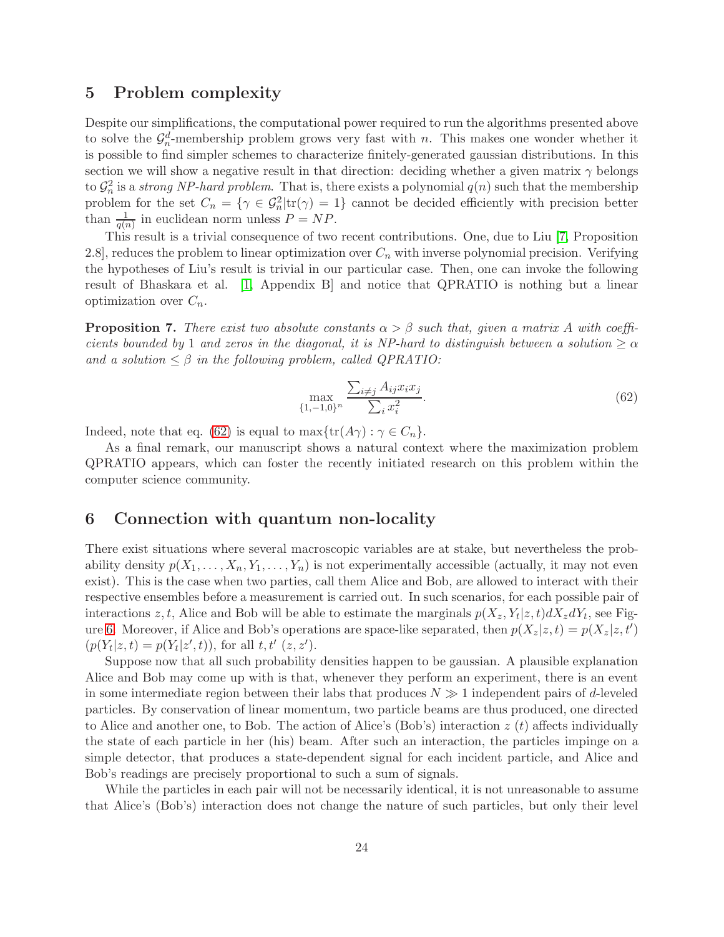# 5 Problem complexity

Despite our simplifications, the computational power required to run the algorithms presented above to solve the  $\mathcal{G}_n^d$ -membership problem grows very fast with n. This makes one wonder whether it is possible to find simpler schemes to characterize finitely-generated gaussian distributions. In this section we will show a negative result in that direction: deciding whether a given matrix  $\gamma$  belongs to  $\mathcal{G}_n^2$  is a strong NP-hard problem. That is, there exists a polynomial  $q(n)$  such that the membership problem for the set  $C_n = \{ \gamma \in \mathcal{G}_n^2 | tr(\gamma) = 1 \}$  cannot be decided efficiently with precision better than  $\frac{1}{q(n)}$  in euclidean norm unless  $P = NP$ .

This result is a trivial consequence of two recent contributions. One, due to Liu [\[7,](#page-30-9) Proposition 2.8], reduces the problem to linear optimization over  $C_n$  with inverse polynomial precision. Verifying the hypotheses of Liu's result is trivial in our particular case. Then, one can invoke the following result of Bhaskara et al. [\[1,](#page-30-1) Appendix B] and notice that QPRATIO is nothing but a linear optimization over  $C_n$ .

**Proposition 7.** There exist two absolute constants  $\alpha > \beta$  such that, given a matrix A with coefficients bounded by 1 and zeros in the diagonal, it is NP-hard to distinguish between a solution  $\geq \alpha$ and a solution  $\leq \beta$  in the following problem, called QPRATIO:

<span id="page-23-1"></span>
$$
\max_{\{1,-1,0\}^n} \frac{\sum_{i \neq j} A_{ij} x_i x_j}{\sum_i x_i^2}.
$$
\n(62)

Indeed, note that eq. [\(62\)](#page-23-1) is equal to  $\max\{\text{tr}(A\gamma): \gamma \in C_n\}.$ 

As a final remark, our manuscript shows a natural context where the maximization problem QPRATIO appears, which can foster the recently initiated research on this problem within the computer science community.

# <span id="page-23-0"></span>6 Connection with quantum non-locality

There exist situations where several macroscopic variables are at stake, but nevertheless the probability density  $p(X_1, \ldots, X_n, Y_1, \ldots, Y_n)$  is not experimentally accessible (actually, it may not even exist). This is the case when two parties, call them Alice and Bob, are allowed to interact with their respective ensembles before a measurement is carried out. In such scenarios, for each possible pair of interactions z, t, Alice and Bob will be able to estimate the marginals  $p(X_z, Y_t|z, t)dX_z dY_t$ , see Fig-ure [6.](#page-24-0) Moreover, if Alice and Bob's operations are space-like separated, then  $p(X_z|z,t) = p(X_z|z,t')$  $(p(Y_t|z,t) = p(Y_t|z',t)),$  for all  $t, t'(z, z').$ 

Suppose now that all such probability densities happen to be gaussian. A plausible explanation Alice and Bob may come up with is that, whenever they perform an experiment, there is an event in some intermediate region between their labs that produces  $N \gg 1$  independent pairs of d-leveled particles. By conservation of linear momentum, two particle beams are thus produced, one directed to Alice and another one, to Bob. The action of Alice's (Bob's) interaction  $z(t)$  affects individually the state of each particle in her (his) beam. After such an interaction, the particles impinge on a simple detector, that produces a state-dependent signal for each incident particle, and Alice and Bob's readings are precisely proportional to such a sum of signals.

While the particles in each pair will not be necessarily identical, it is not unreasonable to assume that Alice's (Bob's) interaction does not change the nature of such particles, but only their level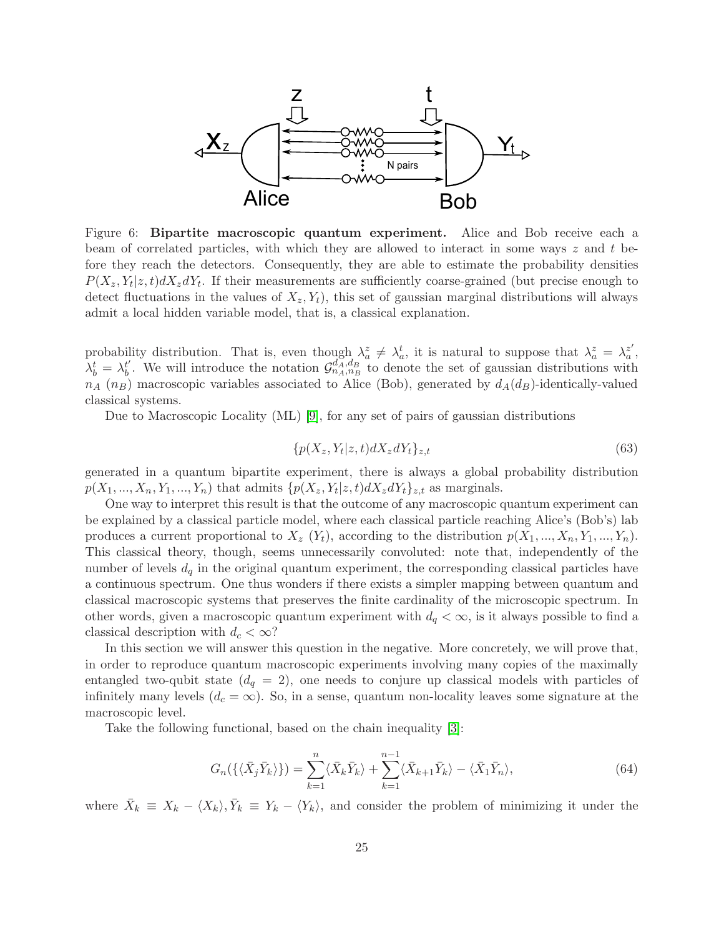

<span id="page-24-0"></span>Figure 6: Bipartite macroscopic quantum experiment. Alice and Bob receive each a beam of correlated particles, with which they are allowed to interact in some ways z and t before they reach the detectors. Consequently, they are able to estimate the probability densities  $P(X_z, Y_t|z, t) dX_z dY_t$ . If their measurements are sufficiently coarse-grained (but precise enough to detect fluctuations in the values of  $X_z, Y_t$ , this set of gaussian marginal distributions will always admit a local hidden variable model, that is, a classical explanation.

probability distribution. That is, even though  $\lambda_a^z \neq \lambda_a^t$ , it is natural to suppose that  $\lambda_a^z = \lambda_a^{z'}$  $z_{a}^{\prime}$  ,  $\lambda_b^t = \lambda_b^{t'}$  $b<sup>t</sup>$ . We will introduce the notation  $\mathcal{G}_{n_A,n_B}^{d_A,d_B}$  to denote the set of gaussian distributions with  $n_A$  ( $n_B$ ) macroscopic variables associated to Alice (Bob), generated by  $d_A(d_B)$ -identically-valued classical systems.

Due to Macroscopic Locality (ML) [\[9\]](#page-30-3), for any set of pairs of gaussian distributions

$$
\{p(X_z, Y_t|z, t)dX_z dY_t\}_{z,t}
$$
\n
$$
(63)
$$

generated in a quantum bipartite experiment, there is always a global probability distribution  $p(X_1, ..., X_n, Y_1, ..., Y_n)$  that admits  $\{p(X_z, Y_t|z, t)dX_z dY_t\}_{z,t}$  as marginals.

One way to interpret this result is that the outcome of any macroscopic quantum experiment can be explained by a classical particle model, where each classical particle reaching Alice's (Bob's) lab produces a current proportional to  $X_z(Y_t)$ , according to the distribution  $p(X_1, ..., X_n, Y_1, ..., Y_n)$ . This classical theory, though, seems unnecessarily convoluted: note that, independently of the number of levels  $d_q$  in the original quantum experiment, the corresponding classical particles have a continuous spectrum. One thus wonders if there exists a simpler mapping between quantum and classical macroscopic systems that preserves the finite cardinality of the microscopic spectrum. In other words, given a macroscopic quantum experiment with  $d_q < \infty$ , is it always possible to find a classical description with  $d_c < \infty$ ?

In this section we will answer this question in the negative. More concretely, we will prove that, in order to reproduce quantum macroscopic experiments involving many copies of the maximally entangled two-qubit state  $(d_q = 2)$ , one needs to conjure up classical models with particles of infinitely many levels  $(d_c = \infty)$ . So, in a sense, quantum non-locality leaves some signature at the macroscopic level.

Take the following functional, based on the chain inequality [\[3\]](#page-30-10):

<span id="page-24-1"></span>
$$
G_n(\{\langle \bar{X}_j \bar{Y}_k \rangle\}) = \sum_{k=1}^n \langle \bar{X}_k \bar{Y}_k \rangle + \sum_{k=1}^{n-1} \langle \bar{X}_{k+1} \bar{Y}_k \rangle - \langle \bar{X}_1 \bar{Y}_n \rangle, \tag{64}
$$

where  $\bar{X}_k \equiv X_k - \langle X_k \rangle, \bar{Y}_k \equiv Y_k - \langle Y_k \rangle$ , and consider the problem of minimizing it under the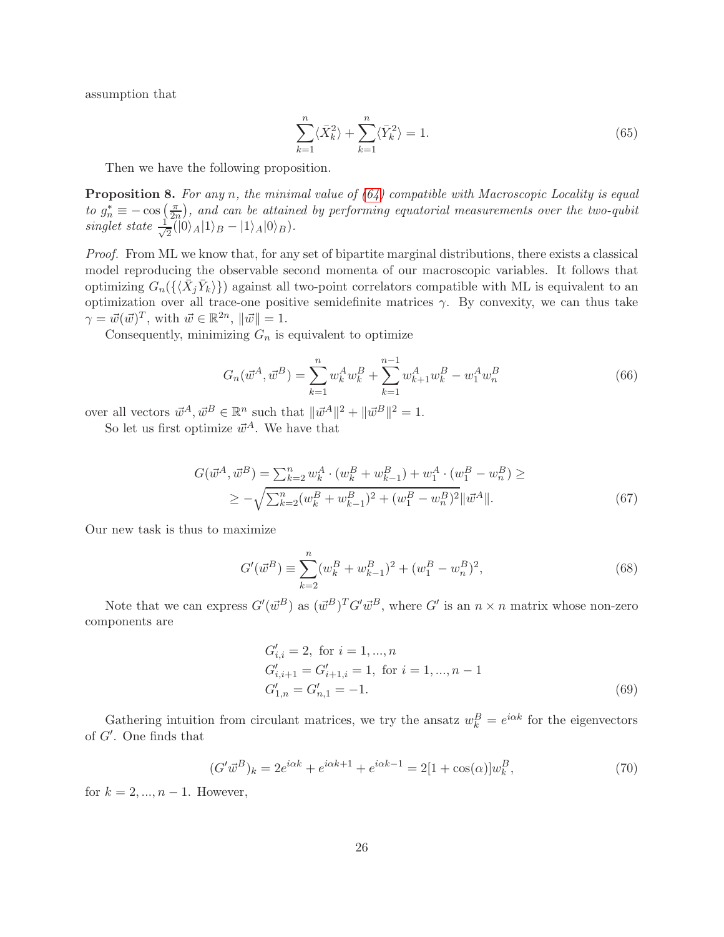assumption that

$$
\sum_{k=1}^{n} \langle \bar{X}_k^2 \rangle + \sum_{k=1}^{n} \langle \bar{Y}_k^2 \rangle = 1.
$$
\n(65)

Then we have the following proposition.

<span id="page-25-0"></span>**Proposition 8.** For any n, the minimal value of  $(64)$  compatible with Macroscopic Locality is equal to  $g_n^* \equiv -\cos\left(\frac{\pi}{2n}\right)$  $\left(\frac{\pi}{2n}\right)$ , and can be attained by performing equatorial measurements over the two-qubit singlet state  $\frac{1}{\sqrt{2}}$  $\frac{1}{2}(|0\rangle_A|1\rangle_B - |1\rangle_A|0\rangle_B).$ 

Proof. From ML we know that, for any set of bipartite marginal distributions, there exists a classical model reproducing the observable second momenta of our macroscopic variables. It follows that optimizing  $G_n(\{\langle \bar{X}_j \bar{Y}_k \rangle\})$  against all two-point correlators compatible with ML is equivalent to an optimization over all trace-one positive semidefinite matrices  $\gamma$ . By convexity, we can thus take  $\gamma = \vec{w}(\vec{w})^T$ , with  $\vec{w} \in \mathbb{R}^{2n}$ ,  $\|\vec{w}\| = 1$ .

Consequently, minimizing  $G_n$  is equivalent to optimize

$$
G_n(\vec{w}^A, \vec{w}^B) = \sum_{k=1}^n w_k^A w_k^B + \sum_{k=1}^{n-1} w_{k+1}^A w_k^B - w_1^A w_n^B
$$
\n(66)

over all vectors  $\vec{w}^A, \vec{w}^B \in \mathbb{R}^n$  such that  $\|\vec{w}^A\|^2 + \|\vec{w}^B\|^2 = 1$ .

So let us first optimize  $\vec{w}^A$ . We have that

$$
G(\vec{w}^A, \vec{w}^B) = \sum_{k=2}^n w_k^A \cdot (w_k^B + w_{k-1}^B) + w_1^A \cdot (w_1^B - w_n^B) \ge
$$
  
 
$$
\ge -\sqrt{\sum_{k=2}^n (w_k^B + w_{k-1}^B)^2 + (w_1^B - w_n^B)^2} ||\vec{w}^A||. \tag{67}
$$

Our new task is thus to maximize

<span id="page-25-1"></span>
$$
G'(\vec{w}^B) \equiv \sum_{k=2}^{n} (w_k^B + w_{k-1}^B)^2 + (w_1^B - w_n^B)^2,
$$
\n(68)

Note that we can express  $G'(\vec{w}^B)$  as  $(\vec{w}^B)^T G' \vec{w}^B$ , where  $G'$  is an  $n \times n$  matrix whose non-zero components are

$$
G'_{i,i} = 2, \text{ for } i = 1, ..., n
$$
  
\n
$$
G'_{i,i+1} = G'_{i+1,i} = 1, \text{ for } i = 1, ..., n-1
$$
  
\n
$$
G'_{1,n} = G'_{n,1} = -1.
$$
\n(69)

Gathering intuition from circulant matrices, we try the ansatz  $w_k^B = e^{i\alpha k}$  for the eigenvectors of G′ . One finds that

$$
(G'\vec{w}^B)_k = 2e^{i\alpha k} + e^{i\alpha k + 1} + e^{i\alpha k - 1} = 2[1 + \cos(\alpha)]w_k^B,
$$
\n(70)

for  $k = 2, ..., n - 1$ . However,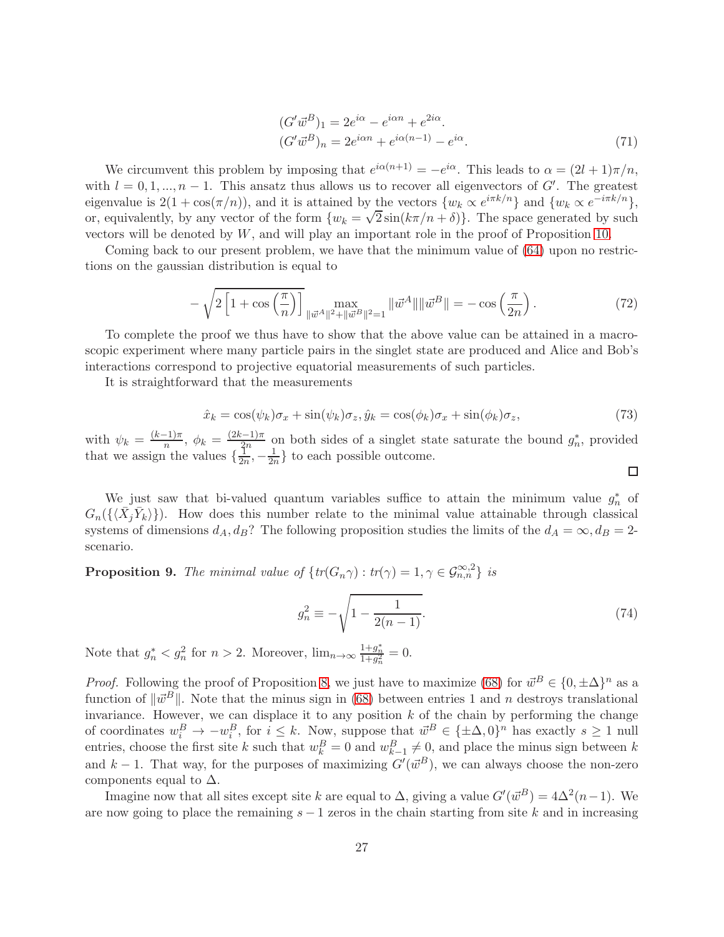$$
(G'\vec{w}^B)_1 = 2e^{i\alpha} - e^{i\alpha n} + e^{2i\alpha}.
$$
  
\n
$$
(G'\vec{w}^B)_n = 2e^{i\alpha n} + e^{i\alpha(n-1)} - e^{i\alpha}.
$$
\n(71)

We circumvent this problem by imposing that  $e^{i\alpha(n+1)} = -e^{i\alpha}$ . This leads to  $\alpha = (2l+1)\pi/n$ , with  $l = 0, 1, ..., n - 1$ . This ansatz thus allows us to recover all eigenvectors of G'. The greatest eigenvalue is  $2(1 + \cos(\pi/n))$ , and it is attained by the vectors  $\{w_k \propto e^{i\pi k/n}\}\$  and  $\{w_k \propto e^{-i\pi k/n}\}\$ , or, equivalently, by any vector of the form  $\{w_k = \sqrt{2}\sin(k\pi/n + \delta)\}\)$ . The space generated by such vectors will be denoted by  $W$ , and will play an important role in the proof of Proposition [10.](#page-27-0)

Coming back to our present problem, we have that the minimum value of [\(64\)](#page-24-1) upon no restrictions on the gaussian distribution is equal to

$$
-\sqrt{2\left[1+\cos\left(\frac{\pi}{n}\right)\right]}\max_{\|\vec{w}^A\|^2+\|\vec{w}^B\|^2=1} \|\vec{w}^A\|\|\vec{w}^B\| = -\cos\left(\frac{\pi}{2n}\right). \tag{72}
$$

To complete the proof we thus have to show that the above value can be attained in a macroscopic experiment where many particle pairs in the singlet state are produced and Alice and Bob's interactions correspond to projective equatorial measurements of such particles.

It is straightforward that the measurements

$$
\hat{x}_k = \cos(\psi_k)\sigma_x + \sin(\psi_k)\sigma_z, \hat{y}_k = \cos(\phi_k)\sigma_x + \sin(\phi_k)\sigma_z, \tag{73}
$$

with  $\psi_k = \frac{(k-1)\pi}{n}$ ,  $\phi_k = \frac{(2k-1)\pi}{3n}$  on both sides of a singlet state saturate the bound  $g_n^*$ , provided that we assign the values  $\{\frac{1}{2n}\}$  $\frac{1}{2n}, -\frac{1}{2n}$  $\frac{1}{2n}$  to each possible outcome.

We just saw that bi-valued quantum variables suffice to attain the minimum value  $g_n^*$  of  $G_n(\{\langle \bar{X}_j \bar{Y}_k \rangle\})$ . How does this number relate to the minimal value attainable through classical systems of dimensions  $d_A, d_B$ ? The following proposition studies the limits of the  $d_A = \infty, d_B = 2$ scenario.

**Proposition 9.** The minimal value of  $\{tr(G_n \gamma) : tr(\gamma) = 1, \gamma \in \mathcal{G}_{n,n}^{\infty,2}\}\$ is

$$
g_n^2 \equiv -\sqrt{1 - \frac{1}{2(n-1)}}.\tag{74}
$$

 $\Box$ 

Note that  $g_n^* < g_n^2$  for  $n > 2$ . Moreover,  $\lim_{n \to \infty} \frac{1 + g_n^*}{1 + g_n^2} = 0$ .

*Proof.* Following the proof of Proposition [8,](#page-25-0) we just have to maximize [\(68\)](#page-25-1) for  $\vec{w}^B \in \{0, \pm \Delta\}^n$  as a function of  $\|\vec{w}^B\|$ . Note that the minus sign in [\(68\)](#page-25-1) between entries 1 and *n* destroys translational invariance. However, we can displace it to any position  $k$  of the chain by performing the change of coordinates  $w_i^B \to -w_i^B$ , for  $i \leq k$ . Now, suppose that  $\vec{w}^B \in {\{\pm \Delta, 0\}}^n$  has exactly  $s \geq 1$  null entries, choose the first site k such that  $w_k^B = 0$  and  $w_{k-1}^B \neq 0$ , and place the minus sign between k and  $k-1$ . That way, for the purposes of maximizing  $G'(\vec{w}^B)$ , we can always choose the non-zero components equal to  $\Delta$ .

Imagine now that all sites except site k are equal to  $\Delta$ , giving a value  $G'(\vec{w}^B) = 4\Delta^2(n-1)$ . We are now going to place the remaining  $s - 1$  zeros in the chain starting from site k and in increasing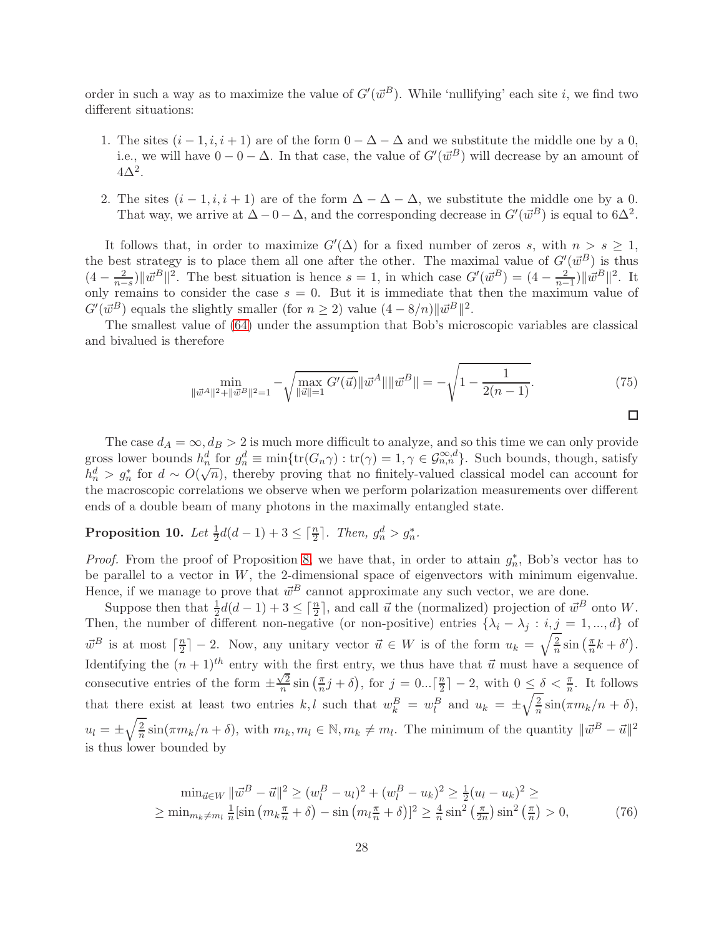order in such a way as to maximize the value of  $G'(\vec{w}^B)$ . While 'nullifying' each site i, we find two different situations:

- 1. The sites  $(i-1,i,i+1)$  are of the form  $0-\Delta-\Delta$  and we substitute the middle one by a 0, i.e., we will have  $0-0-\Delta$ . In that case, the value of  $G'(\vec{w}^B)$  will decrease by an amount of  $4\Delta^2$ .
- 2. The sites  $(i-1, i, i+1)$  are of the form  $\Delta \Delta \Delta$ , we substitute the middle one by a 0. That way, we arrive at  $\Delta - 0 - \Delta$ , and the corresponding decrease in  $G'(\vec{w}^B)$  is equal to  $6\Delta^2$ .

It follows that, in order to maximize  $G'(\Delta)$  for a fixed number of zeros s, with  $n > s \geq 1$ , the best strategy is to place them all one after the other. The maximal value of  $G'(\vec{w}^B)$  is thus  $(4 - \frac{2}{n-3}) \|\vec{w}^B\|^2$ . The best situation is hence  $s = 1$ , in which case  $G'(\vec{w}^B) = (4 - \frac{2}{n-1}) \|\vec{w}^B\|^2$ . It only remains to consider the case  $s = 0$ . But it is immediate that then the maximum value of  $G'(\vec{w}^B)$  equals the slightly smaller (for  $n \geq 2$ ) value  $(4 - 8/n) \|\vec{w}^B\|^2$ .

The smallest value of [\(64\)](#page-24-1) under the assumption that Bob's microscopic variables are classical and bivalued is therefore

$$
\min_{\|\vec{w}^A\|^2 + \|\vec{w}^B\|^2 = 1} - \sqrt{\max_{\|\vec{u}\|=1} G'(\vec{u})} \|\vec{w}^A\|\|\vec{w}^B\| = -\sqrt{1 - \frac{1}{2(n-1)}}.
$$
\n(75)

The case  $d_A = \infty$ ,  $d_B > 2$  is much more difficult to analyze, and so this time we can only provide gross lower bounds  $h_n^d$  for  $g_n^d \equiv \min\{tr(G_n\gamma) : tr(\gamma) = 1, \gamma \in \mathcal{G}_{n,n}^{\infty,d}\}\.$  Such bounds, though, satisfy  $h_n^d > g_n^*$  for  $d \sim O(\sqrt{n})$ , thereby proving that no finitely-valued classical model can account for the macroscopic correlations we observe when we perform polarization measurements over different ends of a double beam of many photons in the maximally entangled state.

<span id="page-27-0"></span>**Proposition 10.** Let  $\frac{1}{2}d(d-1) + 3 \leq \lceil \frac{n}{2} \rceil$ . Then,  $g_n^d > g_n^*$ .

*Proof.* From the proof of Proposition [8,](#page-25-0) we have that, in order to attain  $g_n^*$ , Bob's vector has to be parallel to a vector in  $W$ , the 2-dimensional space of eigenvectors with minimum eigenvalue. Hence, if we manage to prove that  $\vec{w}^B$  cannot approximate any such vector, we are done.

Suppose then that  $\frac{1}{2}d(d-1)+3 \leq \lceil \frac{n}{2} \rceil$ , and call  $\vec{u}$  the (normalized) projection of  $\vec{w}^B$  onto  $W$ . Then, the number of different non-negative (or non-positive) entries  $\{\lambda_i - \lambda_j : i, j = 1, ..., d\}$  of  $\vec{w}^B$  is at most  $\lceil \frac{n}{2} \rceil$  $\lfloor \frac{n}{2} \rfloor - 2$ . Now, any unitary vector  $\vec{u} \in W$  is of the form  $u_k = \sqrt{\frac{2}{n}}$  $\frac{2}{n}\sin\left(\frac{\pi}{n}\right)$  $\frac{\pi}{n}k+\delta'$ . Identifying the  $(n + 1)^{th}$  entry with the first entry, we thus have that  $\vec{u}$  must have a sequence of consecutive entries of the form  $\pm \frac{\sqrt{2}}{n}$  $\frac{\sqrt{2}}{n}$  sin  $\left(\frac{\pi}{n}\right)$  $(\frac{\pi}{n}j+\delta), \text{ for } j=0...\lceil \frac{n}{2} \rceil$  $\frac{n}{2}$ ] – 2, with  $0 \leq \underline{\delta} < \frac{\pi}{n}$ . It follows that there exist at least two entries k, l such that  $w_k^B = w_l^B$  and  $u_k = \pm \sqrt{\frac{2}{n}}$  $\frac{2}{n}\sin(\pi m_k/n + \delta),$  $u_l = \pm \sqrt{\frac{2}{n}}$  $\frac{2}{n}\sin(\pi m_k/n + \delta)$ , with  $m_k, m_l \in \mathbb{N}, m_k \neq m_l$ . The minimum of the quantity  $\|\vec{w}^B - \vec{u}\|^2$ is thus lower bounded by

$$
\min_{\vec{u} \in W} \|\vec{w}^B - \vec{u}\|^2 \ge (w_l^B - u_l)^2 + (w_l^B - u_k)^2 \ge \frac{1}{2}(u_l - u_k)^2 \ge
$$
  
 
$$
\ge \min_{m_k \ne m_l} \frac{1}{n} [\sin (m_k \frac{\pi}{n} + \delta) - \sin (m_l \frac{\pi}{n} + \delta)]^2 \ge \frac{4}{n} \sin^2 (\frac{\pi}{2n}) \sin^2 (\frac{\pi}{n}) > 0,
$$
 (76)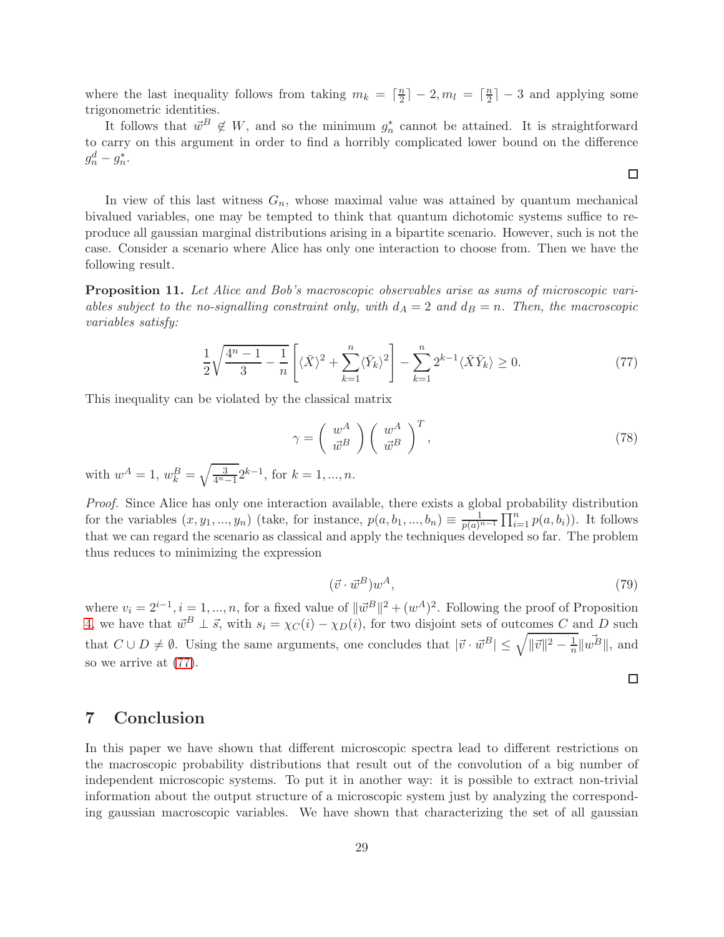where the last inequality follows from taking  $m_k = \lceil \frac{n}{2} \rceil$  $\left\lfloor \frac{n}{2} \right\rfloor - 2, m_l = \left\lceil \frac{n}{2} \right\rceil$  $\frac{n}{2}$  | - 3 and applying some trigonometric identities.

It follows that  $\vec{w}^B \notin W$ , and so the minimum  $g_n^*$  cannot be attained. It is straightforward to carry on this argument in order to find a horribly complicated lower bound on the difference  $g_n^d - g_n^*$ .

In view of this last witness  $G_n$ , whose maximal value was attained by quantum mechanical bivalued variables, one may be tempted to think that quantum dichotomic systems suffice to reproduce all gaussian marginal distributions arising in a bipartite scenario. However, such is not the case. Consider a scenario where Alice has only one interaction to choose from. Then we have the following result.

**Proposition 11.** Let Alice and Bob's macroscopic observables arise as sums of microscopic variables subject to the no-signalling constraint only, with  $d_A = 2$  and  $d_B = n$ . Then, the macroscopic variables satisfy:

<span id="page-28-1"></span>
$$
\frac{1}{2}\sqrt{\frac{4^n-1}{3}-\frac{1}{n}}\left[\langle \bar{X}\rangle^2+\sum_{k=1}^n\langle \bar{Y}_k\rangle^2\right]-\sum_{k=1}^n2^{k-1}\langle \bar{X}\bar{Y}_k\rangle\geq 0.\tag{77}
$$

This inequality can be violated by the classical matrix

$$
\gamma = \left(\begin{array}{c} w^A \\ \vec{w}^B \end{array}\right) \left(\begin{array}{c} w^A \\ \vec{w}^B \end{array}\right)^T,\tag{78}
$$

with  $w^A = 1$ ,  $w_k^B = \sqrt{\frac{3}{4^n}}$ .  $\frac{3}{4^n-1}2^{k-1}$ , for  $k = 1, ..., n$ .

Proof. Since Alice has only one interaction available, there exists a global probability distribution for the variables  $(x, y_1, ..., y_n)$  (take, for instance,  $p(a, b_1, ..., b_n) \equiv \frac{1}{p(a)^{n-1}} \prod_{i=1}^n p(a, b_i)$ ). It follows that we can regard the scenario as classical and apply the techniques developed so far. The problem thus reduces to minimizing the expression

$$
(\vec{v} \cdot \vec{w}^B)w^A,\tag{79}
$$

where  $v_i = 2^{i-1}, i = 1, ..., n$ , for a fixed value of  $\Vert \vec{w}^B \Vert^2 + (w^A)^2$ . Following the proof of Proposition [4,](#page-15-0) we have that  $\vec{w}^B \perp \vec{s}$ , with  $s_i = \chi_C(i) - \chi_D(i)$ , for two disjoint sets of outcomes C and D such that  $C \cup D \neq \emptyset$ . Using the same arguments, one concludes that  $|\vec{v} \cdot \vec{w}^B| \leq \sqrt{\|\vec{v}\|^2 - \frac{1}{n}}$  $\frac{1}{n} \| \vec{w^B} \|$ , and so we arrive at [\(77\)](#page-28-1).

$$
\Box
$$

# <span id="page-28-0"></span>7 Conclusion

In this paper we have shown that different microscopic spectra lead to different restrictions on the macroscopic probability distributions that result out of the convolution of a big number of independent microscopic systems. To put it in another way: it is possible to extract non-trivial information about the output structure of a microscopic system just by analyzing the corresponding gaussian macroscopic variables. We have shown that characterizing the set of all gaussian

 $\Box$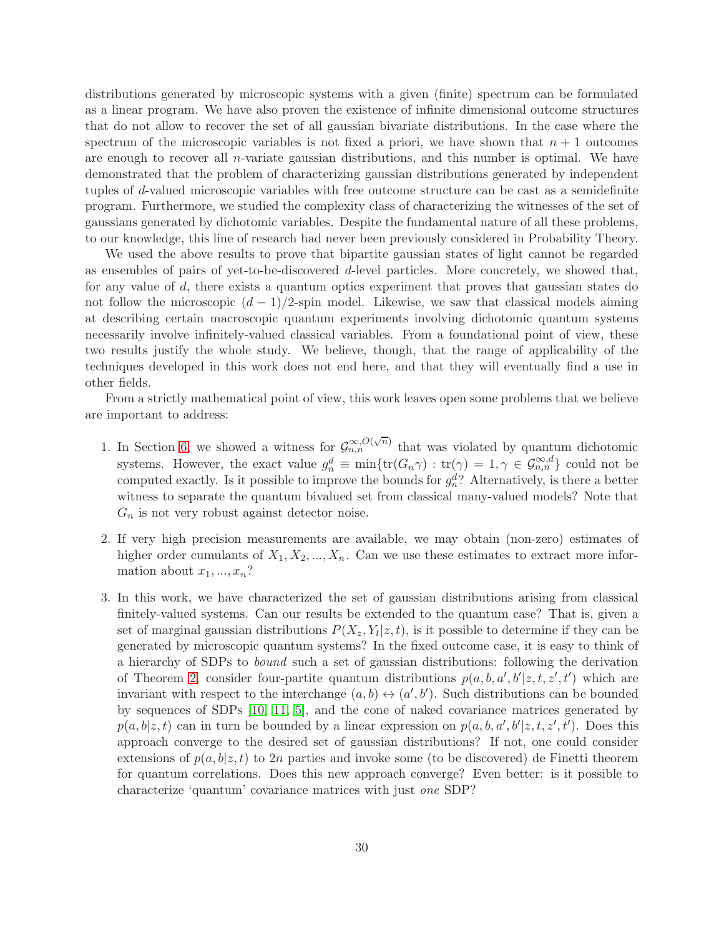distributions generated by microscopic systems with a given (finite) spectrum can be formulated as a linear program. We have also proven the existence of infinite dimensional outcome structures that do not allow to recover the set of all gaussian bivariate distributions. In the case where the spectrum of the microscopic variables is not fixed a priori, we have shown that  $n + 1$  outcomes are enough to recover all *n*-variate gaussian distributions, and this number is optimal. We have demonstrated that the problem of characterizing gaussian distributions generated by independent tuples of d-valued microscopic variables with free outcome structure can be cast as a semidefinite program. Furthermore, we studied the complexity class of characterizing the witnesses of the set of gaussians generated by dichotomic variables. Despite the fundamental nature of all these problems, to our knowledge, this line of research had never been previously considered in Probability Theory.

We used the above results to prove that bipartite gaussian states of light cannot be regarded as ensembles of pairs of yet-to-be-discovered  $d$ -level particles. More concretely, we showed that, for any value of d, there exists a quantum optics experiment that proves that gaussian states do not follow the microscopic  $(d-1)/2$ -spin model. Likewise, we saw that classical models aiming at describing certain macroscopic quantum experiments involving dichotomic quantum systems necessarily involve infinitely-valued classical variables. From a foundational point of view, these two results justify the whole study. We believe, though, that the range of applicability of the techniques developed in this work does not end here, and that they will eventually find a use in other fields.

From a strictly mathematical point of view, this work leaves open some problems that we believe are important to address:

- 1. In Section [6,](#page-23-0) we showed a witness for  $\mathcal{G}_{n,n}^{\infty,O(\sqrt{n})}$  that was violated by quantum dichotomic systems. However, the exact value  $g_n^d \equiv \min\{tr(G_n\gamma) : tr(\gamma) = 1, \gamma \in \mathcal{G}_{n,n}^{\infty,d}\}\)$  could not be computed exactly. Is it possible to improve the bounds for  $g_n^d$ ? Alternatively, is there a better witness to separate the quantum bivalued set from classical many-valued models? Note that  $G_n$  is not very robust against detector noise.
- 2. If very high precision measurements are available, we may obtain (non-zero) estimates of higher order cumulants of  $X_1, X_2, ..., X_n$ . Can we use these estimates to extract more information about  $x_1, ..., x_n$ ?
- 3. In this work, we have characterized the set of gaussian distributions arising from classical finitely-valued systems. Can our results be extended to the quantum case? That is, given a set of marginal gaussian distributions  $P(X_z, Y_t|z, t)$ , is it possible to determine if they can be generated by microscopic quantum systems? In the fixed outcome case, it is easy to think of a hierarchy of SDPs to bound such a set of gaussian distributions: following the derivation of Theorem [2,](#page-6-0) consider four-partite quantum distributions  $p(a, b, a', b'|z, t, z', t')$  which are invariant with respect to the interchange  $(a, b) \leftrightarrow (a', b')$ . Such distributions can be bounded by sequences of SDPs [\[10,](#page-30-11) [11,](#page-30-12) [5\]](#page-30-13), and the cone of naked covariance matrices generated by  $p(a, b|z, t)$  can in turn be bounded by a linear expression on  $p(a, b, a', b'|z, t, z', t')$ . Does this approach converge to the desired set of gaussian distributions? If not, one could consider extensions of  $p(a, b|z, t)$  to  $2n$  parties and invoke some (to be discovered) de Finetti theorem for quantum correlations. Does this new approach converge? Even better: is it possible to characterize 'quantum' covariance matrices with just one SDP?